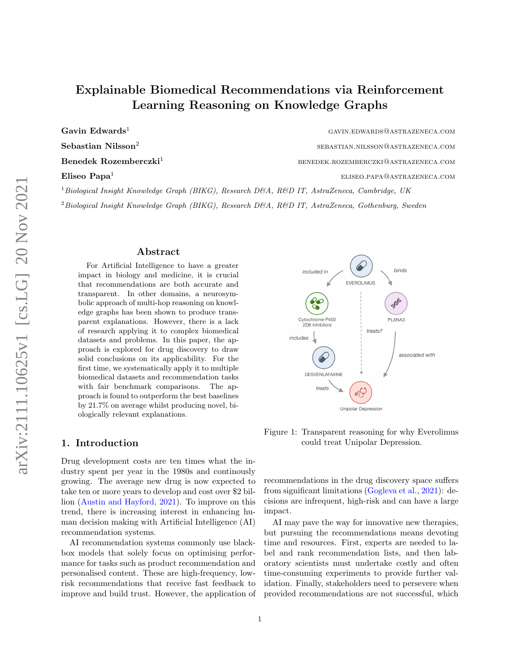# Explainable Biomedical Recommendations via Reinforcement Learning Reasoning on Knowledge Graphs

Gavin Edwards<sup>1</sup> GAVIN.EDWARDS@ASTRAZENECA.COM

Sebastian Nilsson<sup>2</sup>

 $B$ enedek  $R$ ozemberczki<sup>1</sup> benedek.rozemberczki@astrazeneca.com

**Eliseo Papa<sup>1</sup>** eliseo.papa eliseo.papa eliseo.papa eliseo.papa eliseo.papa eliseo.papa eliseo.papa eliseo.papa

 $1B$ iological Insight Knowledge Graph (BIKG), Research D&A, R&D IT, AstraZeneca, Cambridge, UK

 $2$ Biological Insight Knowledge Graph (BIKG), Research D&A, R&D IT, AstraZeneca, Gothenburg, Sweden

#### Abstract

For Artificial Intelligence to have a greater impact in biology and medicine, it is crucial that recommendations are both accurate and transparent. In other domains, a neurosymbolic approach of multi-hop reasoning on knowledge graphs has been shown to produce transparent explanations. However, there is a lack of research applying it to complex biomedical datasets and problems. In this paper, the approach is explored for drug discovery to draw solid conclusions on its applicability. For the first time, we systematically apply it to multiple biomedical datasets and recommendation tasks with fair benchmark comparisons. The approach is found to outperform the best baselines by 21.7% on average whilst producing novel, biologically relevant explanations.

## 1. Introduction

Drug development costs are ten times what the industry spent per year in the 1980s and continously growing. The average new drug is now expected to take ten or more years to develop and cost over \$2 billion [\(Austin and Hayford,](#page-10-0) [2021\)](#page-10-0). To improve on this trend, there is increasing interest in enhancing human decision making with Artificial Intelligence (AI) recommendation systems.

AI recommendation systems commonly use blackbox models that solely focus on optimising performance for tasks such as product recommendation and personalised content. These are high-frequency, lowrisk recommendations that receive fast feedback to improve and build trust. However, the application of



sebastian.nilsson@astrazeneca.com

<span id="page-0-0"></span>Figure 1: Transparent reasoning for why Everolimus could treat Unipolar Depression.

recommendations in the drug discovery space suffers from significant limitations [\(Gogleva et al.,](#page-11-0) [2021\)](#page-11-0): decisions are infrequent, high-risk and can have a large impact.

AI may pave the way for innovative new therapies, but pursuing the recommendations means devoting time and resources. First, experts are needed to label and rank recommendation lists, and then laboratory scientists must undertake costly and often time-consuming experiments to provide further validation. Finally, stakeholders need to persevere when provided recommendations are not successful, which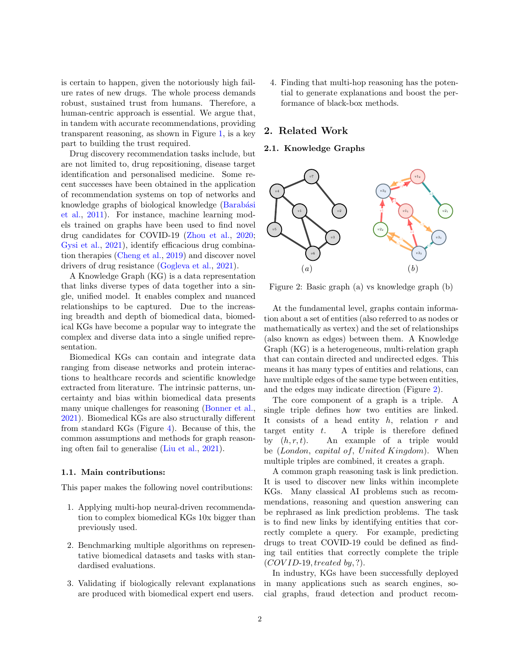is certain to happen, given the notoriously high failure rates of new drugs. The whole process demands robust, sustained trust from humans. Therefore, a human-centric approach is essential. We argue that, in tandem with accurate recommendations, providing transparent reasoning, as shown in Figure [1,](#page-0-0) is a key part to building the trust required.

Drug discovery recommendation tasks include, but are not limited to, drug repositioning, disease target identification and personalised medicine. Some recent successes have been obtained in the application of recommendation systems on top of networks and knowledge graphs of biological knowledge (Barabási [et al.,](#page-10-1) [2011\)](#page-10-1). For instance, machine learning models trained on graphs have been used to find novel drug candidates for COVID-19 [\(Zhou et al.,](#page-13-0) [2020;](#page-13-0) [Gysi et al.,](#page-11-1) [2021\)](#page-11-1), identify efficacious drug combination therapies [\(Cheng et al.,](#page-10-2) [2019\)](#page-10-2) and discover novel drivers of drug resistance [\(Gogleva et al.,](#page-11-0) [2021\)](#page-11-0).

A Knowledge Graph (KG) is a data representation that links diverse types of data together into a single, unified model. It enables complex and nuanced relationships to be captured. Due to the increasing breadth and depth of biomedical data, biomedical KGs have become a popular way to integrate the complex and diverse data into a single unified representation.

Biomedical KGs can contain and integrate data ranging from disease networks and protein interactions to healthcare records and scientific knowledge extracted from literature. The intrinsic patterns, uncertainty and bias within biomedical data presents many unique challenges for reasoning [\(Bonner et al.,](#page-10-3) [2021\)](#page-10-3). Biomedical KGs are also structurally different from standard KGs (Figure [4\)](#page-3-0). Because of this, the common assumptions and methods for graph reasoning often fail to generalise [\(Liu et al.,](#page-11-2) [2021\)](#page-11-2).

#### 1.1. Main contributions:

This paper makes the following novel contributions:

- 1. Applying multi-hop neural-driven recommendation to complex biomedical KGs 10x bigger than previously used.
- 2. Benchmarking multiple algorithms on representative biomedical datasets and tasks with standardised evaluations.
- 3. Validating if biologically relevant explanations are produced with biomedical expert end users.

4. Finding that multi-hop reasoning has the potential to generate explanations and boost the performance of black-box methods.

## 2. Related Work

## 2.1. Knowledge Graphs



<span id="page-1-0"></span>Figure 2: Basic graph (a) vs knowledge graph (b)

At the fundamental level, graphs contain information about a set of entities (also referred to as nodes or mathematically as vertex) and the set of relationships (also known as edges) between them. A Knowledge Graph (KG) is a heterogeneous, multi-relation graph that can contain directed and undirected edges. This means it has many types of entities and relations, can have multiple edges of the same type between entities, and the edges may indicate direction (Figure [2\)](#page-1-0).

The core component of a graph is a triple. A single triple defines how two entities are linked. It consists of a head entity  $h$ , relation  $r$  and target entity  $t$ . A triple is therefore defined by  $(h, r, t)$ . An example of a triple would be (London, capital of, United Kingdom). When multiple triples are combined, it creates a graph.

A common graph reasoning task is link prediction. It is used to discover new links within incomplete KGs. Many classical AI problems such as recommendations, reasoning and question answering can be rephrased as link prediction problems. The task is to find new links by identifying entities that correctly complete a query. For example, predicting drugs to treat COVID-19 could be defined as finding tail entities that correctly complete the triple  $(COVID-19, treated by, ?).$ 

In industry, KGs have been successfully deployed in many applications such as search engines, social graphs, fraud detection and product recom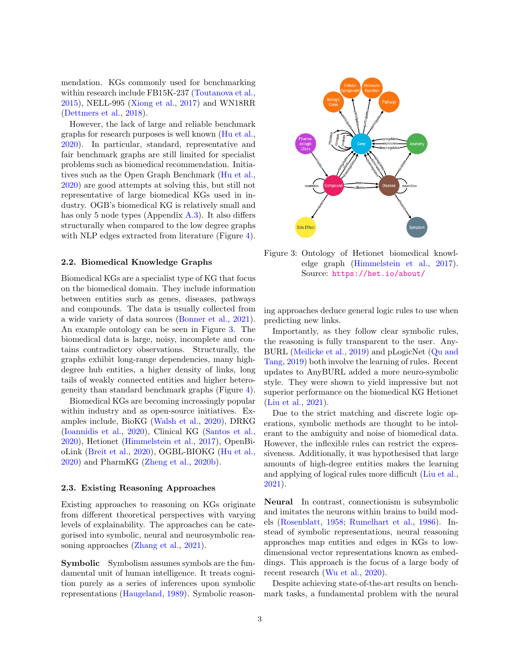mendation. KGs commonly used for benchmarking within research include FB15K-237 [\(Toutanova et al.,](#page-12-0) [2015\)](#page-12-0), NELL-995 [\(Xiong et al.,](#page-13-1) [2017\)](#page-13-1) and WN18RR [\(Dettmers et al.,](#page-10-4) [2018\)](#page-10-4).

However, the lack of large and reliable benchmark graphs for research purposes is well known [\(Hu et al.,](#page-11-3) [2020\)](#page-11-3). In particular, standard, representative and fair benchmark graphs are still limited for specialist problems such as biomedical recommendation. Initiatives such as the Open Graph Benchmark [\(Hu et al.,](#page-11-3) [2020\)](#page-11-3) are good attempts at solving this, but still not representative of large biomedical KGs used in industry. OGB's biomedical KG is relatively small and has only 5 node types (Appendix [A.3\)](#page-15-0). It also differs structurally when compared to the low degree graphs with NLP edges extracted from literature (Figure [4\)](#page-3-0).

#### 2.2. Biomedical Knowledge Graphs

Biomedical KGs are a specialist type of KG that focus on the biomedical domain. They include information between entities such as genes, diseases, pathways and compounds. The data is usually collected from a wide variety of data sources [\(Bonner et al.,](#page-10-3) [2021\)](#page-10-3). An example ontology can be seen in Figure [3.](#page-2-0) The biomedical data is large, noisy, incomplete and contains contradictory observations. Structurally, the graphs exhibit long-range dependencies, many highdegree hub entities, a higher density of links, long tails of weakly connected entities and higher heterogeneity than standard benchmark graphs (Figure [4\)](#page-3-0).

Biomedical KGs are becoming increasingly popular within industry and as open-source initiatives. Examples include, BioKG [\(Walsh et al.,](#page-13-2) [2020\)](#page-13-2), DRKG [\(Ioannidis et al.,](#page-11-4) [2020\)](#page-11-4), Clinical KG [\(Santos et al.,](#page-12-1) [2020\)](#page-12-1), Hetionet [\(Himmelstein et al.,](#page-11-5) [2017\)](#page-11-5), OpenBioLink [\(Breit et al.,](#page-10-5) [2020\)](#page-10-5), OGBL-BIOKG [\(Hu et al.,](#page-11-3) [2020\)](#page-11-3) and PharmKG [\(Zheng et al.,](#page-13-3) [2020b\)](#page-13-3).

#### 2.3. Existing Reasoning Approaches

Existing approaches to reasoning on KGs originate from different theoretical perspectives with varying levels of explainability. The approaches can be categorised into symbolic, neural and neurosymbolic reasoning approaches [\(Zhang et al.,](#page-13-4) [2021\)](#page-13-4).

Symbolic Symbolism assumes symbols are the fundamental unit of human intelligence. It treats cognition purely as a series of inferences upon symbolic representations [\(Haugeland,](#page-11-6) [1989\)](#page-11-6). Symbolic reason-



<span id="page-2-0"></span>Figure 3: Ontology of Hetionet biomedical knowledge graph [\(Himmelstein et al.,](#page-11-5) [2017\)](#page-11-5). Source: <https://het.io/about/>

ing approaches deduce general logic rules to use when predicting new links.

Importantly, as they follow clear symbolic rules, the reasoning is fully transparent to the user. Any-BURL [\(Meilicke et al.,](#page-12-2) [2019\)](#page-12-2) and pLogicNet [\(Qu and](#page-12-3) [Tang,](#page-12-3) [2019\)](#page-12-3) both involve the learning of rules. Recent updates to AnyBURL added a more neuro-symbolic style. They were shown to yield impressive but not superior performance on the biomedical KG Hetionet [\(Liu et al.,](#page-11-2) [2021\)](#page-11-2).

Due to the strict matching and discrete logic operations, symbolic methods are thought to be intolerant to the ambiguity and noise of biomedical data. However, the inflexible rules can restrict the expressiveness. Additionally, it was hypothesised that large amounts of high-degree entities makes the learning and applying of logical rules more difficult [\(Liu et al.,](#page-11-2) [2021\)](#page-11-2).

Neural In contrast, connectionism is subsymbolic and imitates the neurons within brains to build models [\(Rosenblatt,](#page-12-4) [1958;](#page-12-4) [Rumelhart et al.,](#page-12-5) [1986\)](#page-12-5). Instead of symbolic representations, neural reasoning approaches map entities and edges in KGs to lowdimensional vector representations known as embeddings. This approach is the focus of a large body of recent research [\(Wu et al.,](#page-13-5) [2020\)](#page-13-5).

Despite achieving state-of-the-art results on benchmark tasks, a fundamental problem with the neural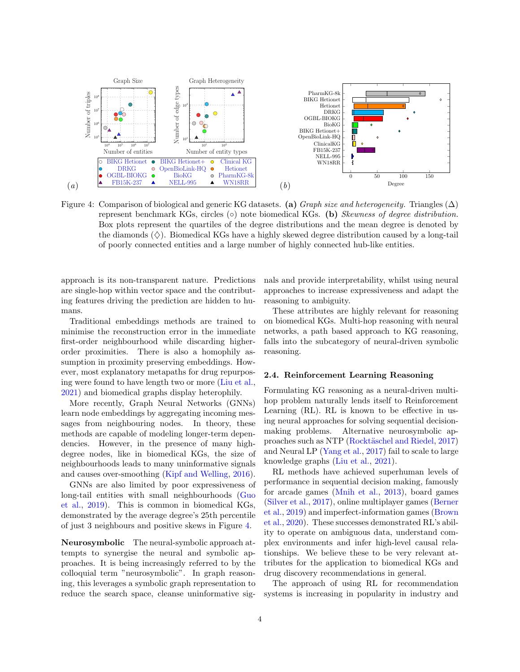

<span id="page-3-0"></span>Figure 4: Comparison of biological and generic KG datasets. (a) Graph size and heterogeneity. Triangles ( $\Delta$ ) represent benchmark KGs, circles  $(○)$  note biomedical KGs.  $(b)$  Skewness of degree distribution. Box plots represent the quartiles of the degree distributions and the mean degree is denoted by the diamonds  $(\diamondsuit)$ . Biomedical KGs have a highly skewed degree distribution caused by a long-tail of poorly connected entities and a large number of highly connected hub-like entities.

approach is its non-transparent nature. Predictions are single-hop within vector space and the contributing features driving the prediction are hidden to humans.

Traditional embeddings methods are trained to minimise the reconstruction error in the immediate first-order neighbourhood while discarding higherorder proximities. There is also a homophily assumption in proximity preserving embeddings. However, most explanatory metapaths for drug repurposing were found to have length two or more [\(Liu et al.,](#page-11-2) [2021\)](#page-11-2) and biomedical graphs display heterophily.

More recently, Graph Neural Networks (GNNs) learn node embeddings by aggregating incoming messages from neighbouring nodes. In theory, these methods are capable of modeling longer-term dependencies. However, in the presence of many highdegree nodes, like in biomedical KGs, the size of neighbourhoods leads to many uninformative signals and causes over-smoothing [\(Kipf and Welling,](#page-11-7) [2016\)](#page-11-7).

GNNs are also limited by poor expressiveness of long-tail entities with small neighbourhoods [\(Guo](#page-11-8) [et al.,](#page-11-8) [2019\)](#page-11-8). This is common in biomedical KGs, demonstrated by the average degree's 25th percentile of just 3 neighbours and positive skews in Figure [4.](#page-3-0)

Neurosymbolic The neural-symbolic approach attempts to synergise the neural and symbolic approaches. It is being increasingly referred to by the colloquial term "neurosymbolic". In graph reasoning, this leverages a symbolic graph representation to reduce the search space, cleanse uninformative sig<span id="page-3-1"></span>nals and provide interpretability, whilst using neural approaches to increase expressiveness and adapt the reasoning to ambiguity.

These attributes are highly relevant for reasoning on biomedical KGs. Multi-hop reasoning with neural networks, a path based approach to KG reasoning, falls into the subcategory of neural-driven symbolic reasoning.

#### 2.4. Reinforcement Learning Reasoning

Formulating KG reasoning as a neural-driven multihop problem naturally lends itself to Reinforcement Learning (RL). RL is known to be effective in using neural approaches for solving sequential decisionmaking problems. Alternative neurosymbolic ap-proaches such as NTP (Rocktäschel and Riedel, [2017\)](#page-12-6) and Neural LP [\(Yang et al.,](#page-13-6) [2017\)](#page-13-6) fail to scale to large knowledge graphs [\(Liu et al.,](#page-11-2) [2021\)](#page-11-2).

RL methods have achieved superhuman levels of performance in sequential decision making, famously for arcade games [\(Mnih et al.,](#page-12-7) [2013\)](#page-12-7), board games [\(Silver et al.,](#page-12-8) [2017\)](#page-12-8), online multiplayer games [\(Berner](#page-10-6) [et al.,](#page-10-6) [2019\)](#page-10-6) and imperfect-information games [\(Brown](#page-10-7) [et al.,](#page-10-7) [2020\)](#page-10-7). These successes demonstrated RL's ability to operate on ambiguous data, understand complex environments and infer high-level causal relationships. We believe these to be very relevant attributes for the application to biomedical KGs and drug discovery recommendations in general.

The approach of using RL for recommendation systems is increasing in popularity in industry and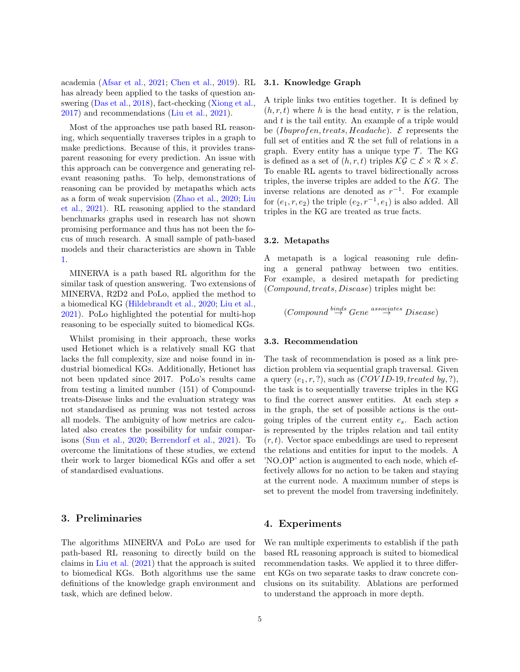academia [\(Afsar et al.,](#page-10-8) [2021;](#page-10-8) [Chen et al.,](#page-10-9) [2019\)](#page-10-9). RL has already been applied to the tasks of question answering [\(Das et al.,](#page-10-10) [2018\)](#page-10-10), fact-checking [\(Xiong et al.,](#page-13-1) [2017\)](#page-13-1) and recommendations [\(Liu et al.,](#page-11-2) [2021\)](#page-11-2).

Most of the approaches use path based RL reasoning, which sequentially traverses triples in a graph to make predictions. Because of this, it provides transparent reasoning for every prediction. An issue with this approach can be convergence and generating relevant reasoning paths. To help, demonstrations of reasoning can be provided by metapaths which acts as a form of weak supervision [\(Zhao et al.,](#page-13-7) [2020;](#page-13-7) [Liu](#page-11-2) [et al.,](#page-11-2) [2021\)](#page-11-2). RL reasoning applied to the standard benchmarks graphs used in research has not shown promising performance and thus has not been the focus of much research. A small sample of path-based models and their characteristics are shown in Table [1.](#page-5-0)

MINERVA is a path based RL algorithm for the similar task of question answering. Two extensions of MINERVA, R2D2 and PoLo, applied the method to a biomedical KG [\(Hildebrandt et al.,](#page-11-9) [2020;](#page-11-9) [Liu et al.,](#page-11-2) [2021\)](#page-11-2). PoLo highlighted the potential for multi-hop reasoning to be especially suited to biomedical KGs.

Whilst promising in their approach, these works used Hetionet which is a relatively small KG that lacks the full complexity, size and noise found in industrial biomedical KGs. Additionally, Hetionet has not been updated since 2017. PoLo's results came from testing a limited number (151) of Compoundtreats-Disease links and the evaluation strategy was not standardised as pruning was not tested across all models. The ambiguity of how metrics are calculated also creates the possibility for unfair comparisons [\(Sun et al.,](#page-12-9) [2020;](#page-12-9) [Berrendorf et al.,](#page-10-11) [2021\)](#page-10-11). To overcome the limitations of these studies, we extend their work to larger biomedical KGs and offer a set of standardised evaluations.

## 3. Preliminaries

The algorithms MINERVA and PoLo are used for path-based RL reasoning to directly build on the claims in [Liu et al.](#page-11-2) [\(2021\)](#page-11-2) that the approach is suited to biomedical KGs. Both algorithms use the same definitions of the knowledge graph environment and task, which are defined below.

#### 3.1. Knowledge Graph

A triple links two entities together. It is defined by  $(h, r, t)$  where h is the head entity, r is the relation, and  $t$  is the tail entity. An example of a triple would be (Ibuprofen, treats, Headache).  $\mathcal E$  represents the full set of entities and  $R$  the set full of relations in a graph. Every entity has a unique type  $\mathcal{T}$ . The KG is defined as a set of  $(h, r, t)$  triples  $\mathcal{KG} \subset \mathcal{E} \times \mathcal{R} \times \mathcal{E}$ . To enable RL agents to travel bidirectionally across triples, the inverse triples are added to the  $KG$ . The inverse relations are denoted as  $r^{-1}$ . For example for  $(e_1, r, e_2)$  the triple  $(e_2, r^{-1}, e_1)$  is also added. All triples in the KG are treated as true facts.

#### 3.2. Metapaths

A metapath is a logical reasoning rule defining a general pathway between two entities. For example, a desired metapath for predicting (Compound, treats, Disease) triples might be:

$$
(Compound \stackrel{binds}{\rightarrow} Gene \stackrel{associates}{\rightarrow} Disease)
$$

#### 3.3. Recommendation

The task of recommendation is posed as a link prediction problem via sequential graph traversal. Given a query  $(e_1, r, ?)$ , such as  $(COVID-19, treated by, ?)$ , the task is to sequentially traverse triples in the KG to find the correct answer entities. At each step s in the graph, the set of possible actions is the outgoing triples of the current entity  $e_s$ . Each action is represented by the triples relation and tail entity  $(r, t)$ . Vector space embeddings are used to represent the relations and entities for input to the models. A 'NO OP' action is augmented to each node, which effectively allows for no action to be taken and staying at the current node. A maximum number of steps is set to prevent the model from traversing indefinitely.

### 4. Experiments

We ran multiple experiments to establish if the path based RL reasoning approach is suited to biomedical recommendation tasks. We applied it to three different KGs on two separate tasks to draw concrete conclusions on its suitability. Ablations are performed to understand the approach in more depth.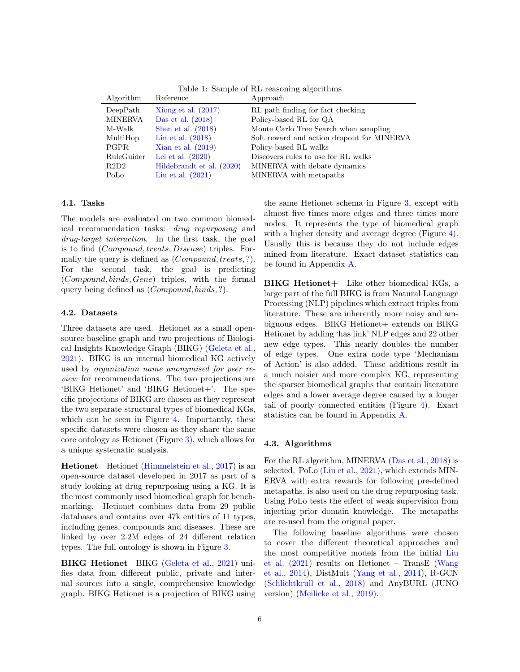| Algorithm      | Reference                 | Approach                                   |
|----------------|---------------------------|--------------------------------------------|
| DeepPath       | Xiong et al. $(2017)$     | RL path finding for fact checking          |
| <b>MINERVA</b> | Das et al. $(2018)$       | Policy-based RL for QA                     |
| M-Walk         | Shen et al. $(2018)$      | Monte Carlo Tree Search when sampling      |
| MultiHop       | Lin et al. $(2018)$       | Soft reward and action dropout for MINERVA |
| <b>PGPR</b>    | Xian et al. $(2019)$      | Policy-based RL walks                      |
| RuleGuider     | Lei et al. $(2020)$       | Discovers rules to use for RL walks        |
| R2D2           | Hildebrandt et al. (2020) | MINERVA with debate dynamics               |
| PoLo           | Liu et al. $(2021)$       | MINERVA with metapaths                     |

<span id="page-5-0"></span>Table 1: Sample of RL reasoning algorithms

#### 4.1. Tasks

The models are evaluated on two common biomedical recommendation tasks: drug repurposing and drug-target interaction. In the first task, the goal is to find (Compound, treats, Disease) triples. Formally the query is defined as (*Compound, treats, ?*). For the second task, the goal is predicting (Compound, binds, Gene) triples, with the formal query being defined as (Compound, binds, ?).

#### 4.2. Datasets

Three datasets are used. Hetionet as a small opensource baseline graph and two projections of Biological Insights Knowledge Graph (BIKG) [\(Geleta et al.,](#page-11-12) [2021\)](#page-11-12). BIKG is an internal biomedical KG actively used by organization name anonymised for peer review for recommendations. The two projections are 'BIKG Hetionet' and 'BIKG Hetionet+'. The specific projections of BIKG are chosen as they represent the two separate structural types of biomedical KGs, which can be seen in Figure [4.](#page-3-0) Importantly, these specific datasets were chosen as they share the same core ontology as Hetionet (Figure [3\)](#page-2-0), which allows for a unique systematic analysis.

Hetionet Hetionet [\(Himmelstein et al.,](#page-11-5) [2017\)](#page-11-5) is an open-source dataset developed in 2017 as part of a study looking at drug repurposing using a KG. It is the most commonly used biomedical graph for benchmarking. Hetionet combines data from 29 public databases and contains over 47k entities of 11 types, including genes, compounds and diseases. These are linked by over 2.2M edges of 24 different relation types. The full ontology is shown in Figure [3.](#page-2-0)

BIKG Hetionet BIKG [\(Geleta et al.,](#page-11-12) [2021\)](#page-11-12) unifies data from different public, private and internal sources into a single, comprehensive knowledge graph. BIKG Hetionet is a projection of BIKG using the same Hetionet schema in Figure [3,](#page-2-0) except with almost five times more edges and three times more nodes. It represents the type of biomedical graph with a higher density and average degree (Figure [4\)](#page-3-0). Usually this is because they do not include edges mined from literature. Exact dataset statistics can be found in Appendix [A.](#page-14-0)

BIKG Hetionet + Like other biomedical KGs, a large part of the full BIKG is from Natural Language Processing (NLP) pipelines which extract triples from literature. These are inherently more noisy and ambiguous edges. BIKG Hetionet + extends on BIKG Hetionet by adding 'has link' NLP edges and 22 other new edge types. This nearly doubles the number of edge types. One extra node type 'Mechanism of Action' is also added. These additions result in a much noisier and more complex KG, representing the sparser biomedical graphs that contain literature edges and a lower average degree caused by a longer tail of poorly connected entities (Figure [4\)](#page-3-0). Exact statistics can be found in Appendix [A.](#page-14-0)

#### 4.3. Algorithms

For the RL algorithm, MINERVA [\(Das et al.,](#page-10-10) [2018\)](#page-10-10) is selected. PoLo [\(Liu et al.,](#page-11-2) [2021\)](#page-11-2), which extends MIN-ERVA with extra rewards for following pre-defined metapaths, is also used on the drug repurposing task. Using PoLo tests the effect of weak supervision from injecting prior domain knowledge. The metapaths are re-used from the original paper.

The following baseline algorithms were chosen to cover the different theoretical approaches and the most competitive models from the initial [Liu](#page-11-2) [et al.](#page-11-2) [\(2021\)](#page-11-2) results on Hetionet – TransE [\(Wang](#page-13-9) [et al.,](#page-13-9) [2014\)](#page-13-9), DistMult [\(Yang et al.,](#page-13-10) [2014\)](#page-13-10), R-GCN [\(Schlichtkrull et al.,](#page-12-11) [2018\)](#page-12-11) and AnyBURL (JUNO version) [\(Meilicke et al.,](#page-12-2) [2019\)](#page-12-2).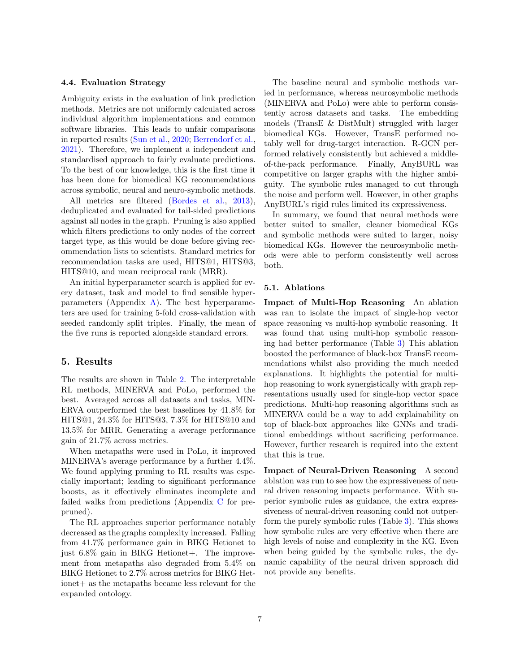#### 4.4. Evaluation Strategy

Ambiguity exists in the evaluation of link prediction methods. Metrics are not uniformly calculated across individual algorithm implementations and common software libraries. This leads to unfair comparisons in reported results [\(Sun et al.,](#page-12-9) [2020;](#page-12-9) [Berrendorf et al.,](#page-10-11) [2021\)](#page-10-11). Therefore, we implement a independent and standardised approach to fairly evaluate predictions. To the best of our knowledge, this is the first time it has been done for biomedical KG recommendations across symbolic, neural and neuro-symbolic methods.

All metrics are filtered [\(Bordes et al.,](#page-10-12) [2013\)](#page-10-12), deduplicated and evaluated for tail-sided predictions against all nodes in the graph. Pruning is also applied which filters predictions to only nodes of the correct target type, as this would be done before giving recommendation lists to scientists. Standard metrics for recommendation tasks are used, HITS@1, HITS@3, HITS@10, and mean reciprocal rank (MRR).

An initial hyperparameter search is applied for every dataset, task and model to find sensible hyperparameters (Appendix [A\)](#page-14-0). The best hyperparameters are used for training 5-fold cross-validation with seeded randomly split triples. Finally, the mean of the five runs is reported alongside standard errors.

#### 5. Results

The results are shown in Table [2.](#page-7-0) The interpretable RL methods, MINERVA and PoLo, performed the best. Averaged across all datasets and tasks, MIN-ERVA outperformed the best baselines by 41.8% for HITS@1, 24.3% for HITS@3, 7.3% for HITS@10 and 13.5% for MRR. Generating a average performance gain of 21.7% across metrics.

When metapaths were used in PoLo, it improved MINERVA's average performance by a further 4.4%. We found applying pruning to RL results was especially important; leading to significant performance boosts, as it effectively eliminates incomplete and failed walks from predictions (Appendix [C](#page-21-0) for prepruned).

The RL approaches superior performance notably decreased as the graphs complexity increased. Falling from 41.7% performance gain in BIKG Hetionet to just  $6.8\%$  gain in BIKG Hetionet+. The improvement from metapaths also degraded from 5.4% on BIKG Hetionet to 2.7% across metrics for BIKG Hetionet + as the metapaths became less relevant for the expanded ontology.

The baseline neural and symbolic methods varied in performance, whereas neurosymbolic methods (MINERVA and PoLo) were able to perform consistently across datasets and tasks. The embedding models (TransE & DistMult) struggled with larger biomedical KGs. However, TransE performed notably well for drug-target interaction. R-GCN performed relatively consistently but achieved a middleof-the-pack performance. Finally, AnyBURL was competitive on larger graphs with the higher ambiguity. The symbolic rules managed to cut through the noise and perform well. However, in other graphs AnyBURL's rigid rules limited its expressiveness.

In summary, we found that neural methods were better suited to smaller, cleaner biomedical KGs and symbolic methods were suited to larger, noisy biomedical KGs. However the neurosymbolic methods were able to perform consistently well across both.

#### 5.1. Ablations

Impact of Multi-Hop Reasoning An ablation was ran to isolate the impact of single-hop vector space reasoning vs multi-hop symbolic reasoning. It was found that using multi-hop symbolic reasoning had better performance (Table [3\)](#page-7-1) This ablation boosted the performance of black-box TransE recommendations whilst also providing the much needed explanations. It highlights the potential for multihop reasoning to work synergistically with graph representations usually used for single-hop vector space predictions. Multi-hop reasoning algorithms such as MINERVA could be a way to add explainability on top of black-box approaches like GNNs and traditional embeddings without sacrificing performance. However, further research is required into the extent that this is true.

Impact of Neural-Driven Reasoning A second ablation was run to see how the expressiveness of neural driven reasoning impacts performance. With superior symbolic rules as guidance, the extra expressiveness of neural-driven reasoning could not outperform the purely symbolic rules (Table [3\)](#page-7-1). This shows how symbolic rules are very effective when there are high levels of noise and complexity in the KG. Even when being guided by the symbolic rules, the dynamic capability of the neural driven approach did not provide any benefits.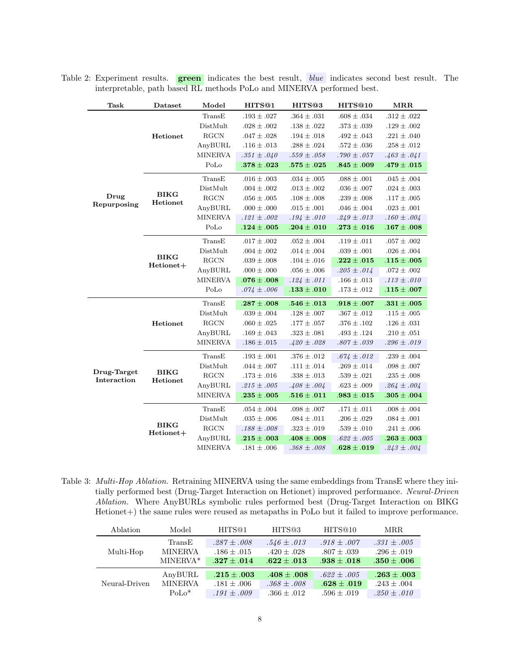| <b>Task</b>                | Dataset                  | Model          | HITS@1          | HITS <sup>®3</sup> | HITS@10         | <b>MRR</b>      |
|----------------------------|--------------------------|----------------|-----------------|--------------------|-----------------|-----------------|
|                            |                          | TransE         | $.193 \pm .027$ | $.364 \pm .031$    | $.608 \pm .034$ | $.312 \pm .022$ |
|                            |                          | DistMult       | $.028 \pm .002$ | $.138\pm.022$      | $.373\pm.039$   | $.129\pm .002$  |
|                            | Hetionet                 | <b>RGCN</b>    | $.047 \pm .028$ | $.194 \pm .018$    | $.492 \pm .043$ | $.221 \pm .040$ |
|                            |                          | AnyBURL        | $.116 \pm .013$ | $.288 \pm .024$    | $.572 \pm .036$ | $.258 \pm .012$ |
|                            |                          | <b>MINERVA</b> | $.351 \pm .040$ | $.559 \pm .058$    | $.790 \pm .057$ | $.463 \pm .041$ |
|                            |                          | PoLo           | $.378 \pm .023$ | $.575\pm.025$      | $.845 \pm .009$ | $.479 \pm .015$ |
|                            |                          | TransE         | $.016 \pm .003$ | $.034 \pm .005$    | $.088 \pm .001$ | $.045 \pm .004$ |
|                            |                          | DistMult       | $.004 \pm .002$ | $.013 \pm .002$    | $.036 \pm .007$ | $.024 \pm .003$ |
| Drug                       | <b>BIKG</b><br>Hetionet  | <b>RGCN</b>    | $.056 \pm .005$ | $.108 \pm .008$    | $.239 \pm .008$ | $.117 \pm .005$ |
| Repurposing                |                          | AnyBURL        | $.000 \pm .000$ | $.015 \pm .001$    | $.046 \pm .004$ | $.023 \pm .001$ |
|                            |                          | <b>MINERVA</b> | $.121 \pm .002$ | $.194 \pm .010$    | $.249 \pm .013$ | $.160 \pm .004$ |
|                            |                          | PoLo           | $.124 \pm .005$ | $.204 \pm .010$    | $.273 \pm .016$ | $.167 \pm .008$ |
|                            | <b>BIKG</b><br>Hetionet+ | TransE         | $.017 \pm .002$ | $.052 \pm .004$    | $.119\pm.011$   | $.057 \pm .002$ |
|                            |                          | DistMult       | $.004 \pm .002$ | $.014 \pm .004$    | $.039 \pm .001$ | $.026 \pm .004$ |
|                            |                          | <b>RGCN</b>    | $.039 \pm .008$ | $.104 \pm .016$    | $.222\pm.015$   | $.115 \pm .005$ |
|                            |                          | AnyBURL        | $.000 \pm .000$ | $.056 \pm .006$    | $.205 \pm .014$ | $.072 \pm .002$ |
|                            |                          | <b>MINERVA</b> | $.076 \pm .008$ | $.124 \pm .011$    | $.166 \pm .013$ | $.113 \pm .010$ |
|                            |                          | PoLo           | $.074 \pm .006$ | $.133 \pm .010$    | $.173\pm.012$   | $.115 \pm .007$ |
|                            |                          | TransE         | $.287 \pm .008$ | $.546\pm.013$      | $.918 \pm .007$ | $.331 \pm .005$ |
|                            |                          | DistMult       | $.039 \pm .004$ | $.128 \pm .007$    | $.367 \pm .012$ | $.115 \pm .005$ |
|                            | Hetionet                 | <b>RGCN</b>    | $.060 \pm .025$ | $.177 \pm .057$    | $.376 \pm .102$ | $.126 \pm .031$ |
|                            |                          | AnyBURL        | $.169 \pm .043$ | $.323 \pm .081$    | $.493 \pm .124$ | $.210 \pm .051$ |
|                            |                          | <b>MINERVA</b> | $.186 \pm .015$ | $.420 \pm .028$    | $.807 \pm .039$ | $.296 \pm .019$ |
|                            |                          | TransE         | $.193 \pm .001$ | $.376 \pm .012$    | $.674 \pm .012$ | $.239\pm.004$   |
|                            |                          | DistMult       | $.044 \pm .007$ | $.111 \pm .014$    | $.269 \pm .014$ | $.098 \pm .007$ |
| Drug-Target<br>Interaction | <b>BIKG</b><br>Hetionet  | <b>RGCN</b>    | $.173 \pm .016$ | $.338 \pm .013$    | $.539 \pm .021$ | .235 $\pm$ .008 |
|                            |                          | AnyBURL        | $.215 \pm .005$ | $.408 \pm .004$    | $.623 \pm .009$ | $.264 \pm .004$ |
|                            |                          | <b>MINERVA</b> | $.235\pm .005$  | $.516 \pm .011$    | $.983 \pm .015$ | $.305 \pm .004$ |
|                            |                          | TransE         | $.054 \pm .004$ | $.098 \pm .007$    | $.171 \pm .011$ | $.008 \pm .004$ |
|                            |                          | DistMult       | $.035 \pm .006$ | $.084\pm.011$      | $.206 \pm .029$ | $.084 \pm .001$ |
|                            | <b>BIKG</b><br>Hetionet+ | <b>RGCN</b>    | $.188 \pm .008$ | $.323 \pm .019$    | $.539 \pm .010$ | $.241 \pm .006$ |
|                            |                          | AnyBURL        | $.215 \pm .003$ | $.408 \pm .008$    | $.622 \pm .005$ | $.263 \pm .003$ |
|                            |                          | <b>MINERVA</b> | $.181 \pm .006$ | $.368 \pm .008$    | $.628 \pm .019$ | $.243 \pm .004$ |

<span id="page-7-0"></span>Table 2: Experiment results. **green** indicates the best result, *blue* indicates second best result. The interpretable, path based RL methods PoLo and MINERVA performed best.

<span id="page-7-1"></span>Table 3: Multi-Hop Ablation. Retraining MINERVA using the same embeddings from TransE where they initially performed best (Drug-Target Interaction on Hetionet) improved performance. Neural-Driven Ablation. Where AnyBURLs symbolic rules performed best (Drug-Target Interaction on BIKG Hetionet+) the same rules were reused as metapaths in PoLo but it failed to improve performance.

| Ablation      | Model          | HITS <sup>@1</sup> | HITS@3          | HITS@10         | MRR.            |
|---------------|----------------|--------------------|-----------------|-----------------|-----------------|
|               | TransE         | $.287 \pm .008$    | $.546 \pm .013$ | $.918 \pm .007$ | $.331 \pm .005$ |
| Multi-Hop     | <b>MINERVA</b> | $.186 \pm .015$    | $.420 \pm .028$ | $.807 \pm .039$ | $.296 \pm .019$ |
|               | MINERVA*       | $.327 + .014$      | $.622 + .013$   | $.938\pm.018$   | $.350\pm.006$   |
|               | AnyBURL        | $.215\pm .003$     | $.408 \pm .008$ | $.622 + .005$   | $.263\pm.003$   |
| Neural-Driven | <b>MINERVA</b> | $.181 + .006$      | $.368 \pm .008$ | $.628\pm.019$   | $.243 \pm .004$ |
|               | $PoLo^*$       | $.191 + .009$      | $.366 \pm .012$ | $.596 + .019$   | $.250 \pm .010$ |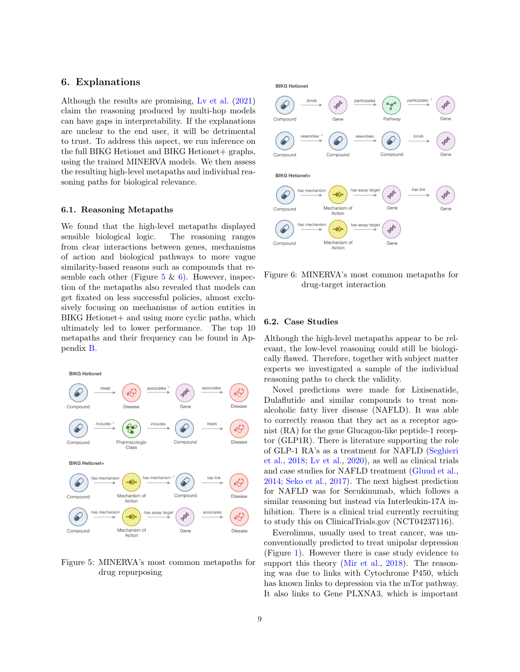## 6. Explanations

Although the results are promising, [Lv et al.](#page-12-12) [\(2021\)](#page-12-12) claim the reasoning produced by multi-hop models can have gaps in interpretability. If the explanations are unclear to the end user, it will be detrimental to trust. To address this aspect, we run inference on the full BIKG Hetionet and BIKG Hetionet + graphs, using the trained MINERVA models. We then assess the resulting high-level metapaths and individual reasoning paths for biological relevance.

#### 6.1. Reasoning Metapaths

We found that the high-level metapaths displayed sensible biological logic. The reasoning ranges from clear interactions between genes, mechanisms of action and biological pathways to more vague similarity-based reasons such as compounds that resemble each other (Figure  $5 \& 6$  $5 \& 6$ ). However, inspection of the metapaths also revealed that models can get fixated on less successful policies, almost exclusively focusing on mechanisms of action entities in BIKG Hetionet + and using more cyclic paths, which ultimately led to lower performance. The top 10 metapaths and their frequency can be found in Appendix [B.](#page-16-0)



<span id="page-8-0"></span>Figure 5: MINERVA's most common metapaths for drug repurposing

#### **BIKG Hetionet**



<span id="page-8-1"></span>Figure 6: MINERVA's most common metapaths for drug-target interaction

#### 6.2. Case Studies

Although the high-level metapaths appear to be relevant, the low-level reasoning could still be biologically flawed. Therefore, together with subject matter experts we investigated a sample of the individual reasoning paths to check the validity.

Novel predictions were made for Lixisenatide, Dulaflutide and similar compounds to treat nonalcoholic fatty liver disease (NAFLD). It was able to correctly reason that they act as a receptor agonist (RA) for the gene Glucagon-like peptide-1 receptor (GLP1R). There is literature supporting the role of GLP-1 RA's as a treatment for NAFLD [\(Seghieri](#page-12-13) [et al.,](#page-12-13) [2018;](#page-12-13) [Lv et al.,](#page-11-13) [2020\)](#page-11-13), as well as clinical trials and case studies for NAFLD treatment [\(Gluud et al.,](#page-11-14) [2014;](#page-11-14) [Seko et al.,](#page-12-14) [2017\)](#page-12-14). The next highest prediction for NAFLD was for Secukinumab, which follows a similar reasoning but instead via Interleukin-17A inhibition. There is a clinical trial currently recruiting to study this on ClinicalTrials.gov (NCT04237116).

Everolimus, usually used to treat cancer, was unconventionally predicted to treat unipolar depression (Figure [1\)](#page-0-0). However there is case study evidence to support this theory [\(Mir et al.,](#page-12-15) [2018\)](#page-12-15). The reasoning was due to links with Cytochrome P450, which has known links to depression via the mTor pathway. It also links to Gene PLXNA3, which is important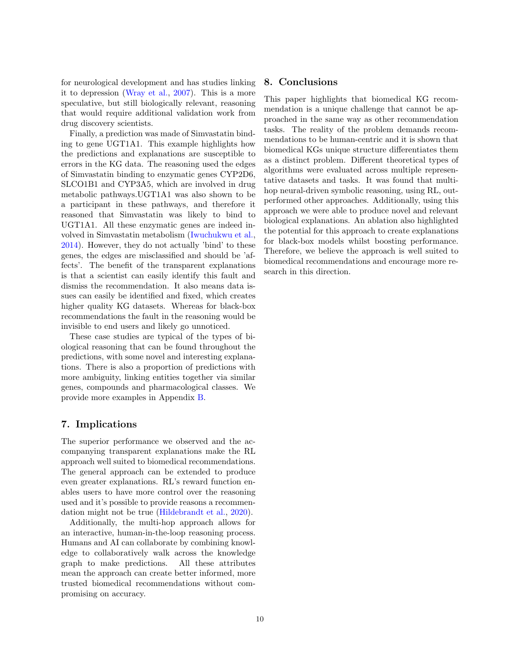for neurological development and has studies linking it to depression [\(Wray et al.,](#page-13-11) [2007\)](#page-13-11). This is a more speculative, but still biologically relevant, reasoning that would require additional validation work from drug discovery scientists.

Finally, a prediction was made of Simvastatin binding to gene UGT1A1. This example highlights how the predictions and explanations are susceptible to errors in the KG data. The reasoning used the edges of Simvastatin binding to enzymatic genes CYP2D6, SLCO1B1 and CYP3A5, which are involved in drug metabolic pathways.UGT1A1 was also shown to be a participant in these pathways, and therefore it reasoned that Simvastatin was likely to bind to UGT1A1. All these enzymatic genes are indeed involved in Simvastatin metabolism [\(Iwuchukwu et al.,](#page-11-15) [2014\)](#page-11-15). However, they do not actually 'bind' to these genes, the edges are misclassified and should be 'affects'. The benefit of the transparent explanations is that a scientist can easily identify this fault and dismiss the recommendation. It also means data issues can easily be identified and fixed, which creates higher quality KG datasets. Whereas for black-box recommendations the fault in the reasoning would be invisible to end users and likely go unnoticed.

These case studies are typical of the types of biological reasoning that can be found throughout the predictions, with some novel and interesting explanations. There is also a proportion of predictions with more ambiguity, linking entities together via similar genes, compounds and pharmacological classes. We provide more examples in Appendix [B.](#page-16-0)

## 7. Implications

The superior performance we observed and the accompanying transparent explanations make the RL approach well suited to biomedical recommendations. The general approach can be extended to produce even greater explanations. RL's reward function enables users to have more control over the reasoning used and it's possible to provide reasons a recommendation might not be true [\(Hildebrandt et al.,](#page-11-9) [2020\)](#page-11-9).

Additionally, the multi-hop approach allows for an interactive, human-in-the-loop reasoning process. Humans and AI can collaborate by combining knowledge to collaboratively walk across the knowledge graph to make predictions. All these attributes mean the approach can create better informed, more trusted biomedical recommendations without compromising on accuracy.

## 8. Conclusions

This paper highlights that biomedical KG recommendation is a unique challenge that cannot be approached in the same way as other recommendation tasks. The reality of the problem demands recommendations to be human-centric and it is shown that biomedical KGs unique structure differentiates them as a distinct problem. Different theoretical types of algorithms were evaluated across multiple representative datasets and tasks. It was found that multihop neural-driven symbolic reasoning, using RL, outperformed other approaches. Additionally, using this approach we were able to produce novel and relevant biological explanations. An ablation also highlighted the potential for this approach to create explanations for black-box models whilst boosting performance. Therefore, we believe the approach is well suited to biomedical recommendations and encourage more research in this direction.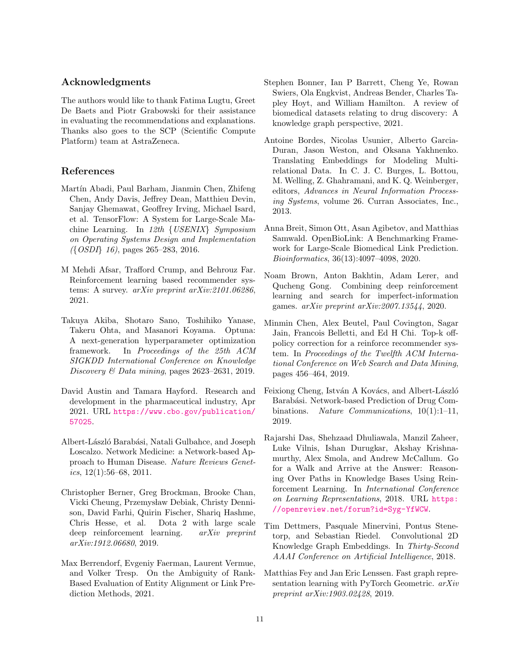## Acknowledgments

The authors would like to thank Fatima Lugtu, Greet De Baets and Piotr Grabowski for their assistance in evaluating the recommendations and explanations. Thanks also goes to the SCP (Scientific Compute Platform) team at AstraZeneca.

## References

- <span id="page-10-13"></span>Martín Abadi, Paul Barham, Jianmin Chen, Zhifeng Chen, Andy Davis, Jeffrey Dean, Matthieu Devin, Sanjay Ghemawat, Geoffrey Irving, Michael Isard, et al. TensorFlow: A System for Large-Scale Machine Learning. In 12th {USENIX} Symposium on Operating Systems Design and Implementation ({OSDI} 16), pages 265–283, 2016.
- <span id="page-10-8"></span>M Mehdi Afsar, Trafford Crump, and Behrouz Far. Reinforcement learning based recommender systems: A survey. arXiv preprint arXiv:2101.06286, 2021.
- <span id="page-10-14"></span>Takuya Akiba, Shotaro Sano, Toshihiko Yanase, Takeru Ohta, and Masanori Koyama. Optuna: A next-generation hyperparameter optimization framework. In Proceedings of the 25th ACM SIGKDD International Conference on Knowledge Discovery & Data mining, pages 2623–2631, 2019.
- <span id="page-10-0"></span>David Austin and Tamara Hayford. Research and development in the pharmaceutical industry, Apr 2021. URL [https://www.cbo.gov/publication/](https://www.cbo.gov/publication/57025) [57025](https://www.cbo.gov/publication/57025).
- <span id="page-10-1"></span>Albert-László Barabási, Natali Gulbahce, and Joseph Loscalzo. Network Medicine: a Network-based Approach to Human Disease. Nature Reviews Genetics,  $12(1):56-68$ ,  $2011$ .
- <span id="page-10-6"></span>Christopher Berner, Greg Brockman, Brooke Chan, Vicki Cheung, Przemysław Debiak, Christy Dennison, David Farhi, Quirin Fischer, Shariq Hashme, Chris Hesse, et al. Dota 2 with large scale deep reinforcement learning. arXiv preprint arXiv:1912.06680, 2019.
- <span id="page-10-11"></span>Max Berrendorf, Evgeniy Faerman, Laurent Vermue, and Volker Tresp. On the Ambiguity of Rank-Based Evaluation of Entity Alignment or Link Prediction Methods, 2021.
- <span id="page-10-3"></span>Stephen Bonner, Ian P Barrett, Cheng Ye, Rowan Swiers, Ola Engkvist, Andreas Bender, Charles Tapley Hoyt, and William Hamilton. A review of biomedical datasets relating to drug discovery: A knowledge graph perspective, 2021.
- <span id="page-10-12"></span>Antoine Bordes, Nicolas Usunier, Alberto Garcia-Duran, Jason Weston, and Oksana Yakhnenko. Translating Embeddings for Modeling Multirelational Data. In C. J. C. Burges, L. Bottou, M. Welling, Z. Ghahramani, and K. Q. Weinberger, editors, Advances in Neural Information Processing Systems, volume 26. Curran Associates, Inc., 2013.
- <span id="page-10-5"></span>Anna Breit, Simon Ott, Asan Agibetov, and Matthias Samwald. OpenBioLink: A Benchmarking Framework for Large-Scale Biomedical Link Prediction. Bioinformatics, 36(13):4097–4098, 2020.
- <span id="page-10-7"></span>Noam Brown, Anton Bakhtin, Adam Lerer, and Qucheng Gong. Combining deep reinforcement learning and search for imperfect-information games. arXiv preprint arXiv:2007.13544, 2020.
- <span id="page-10-9"></span>Minmin Chen, Alex Beutel, Paul Covington, Sagar Jain, Francois Belletti, and Ed H Chi. Top-k offpolicy correction for a reinforce recommender system. In Proceedings of the Twelfth ACM International Conference on Web Search and Data Mining, pages 456–464, 2019.
- <span id="page-10-2"></span>Feixiong Cheng, István A Kovács, and Albert-László Barabási. Network-based Prediction of Drug Combinations. Nature Communications, 10(1):1–11, 2019.
- <span id="page-10-10"></span>Rajarshi Das, Shehzaad Dhuliawala, Manzil Zaheer, Luke Vilnis, Ishan Durugkar, Akshay Krishnamurthy, Alex Smola, and Andrew McCallum. Go for a Walk and Arrive at the Answer: Reasoning Over Paths in Knowledge Bases Using Reinforcement Learning. In International Conference on Learning Representations, 2018. URL [https:](https://openreview.net/forum?id=Syg-YfWCW) [//openreview.net/forum?id=Syg-YfWCW](https://openreview.net/forum?id=Syg-YfWCW).
- <span id="page-10-4"></span>Tim Dettmers, Pasquale Minervini, Pontus Stenetorp, and Sebastian Riedel. Convolutional 2D Knowledge Graph Embeddings. In Thirty-Second AAAI Conference on Artificial Intelligence, 2018.
- <span id="page-10-15"></span>Matthias Fey and Jan Eric Lenssen. Fast graph representation learning with PyTorch Geometric.  $arXiv$ preprint arXiv:1903.02428, 2019.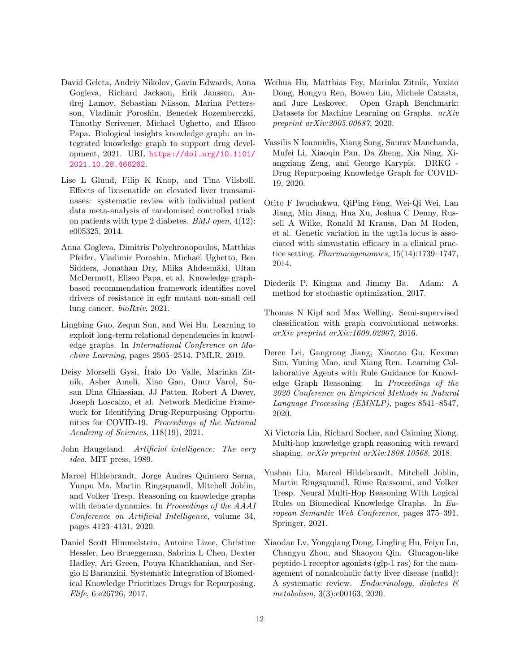- <span id="page-11-12"></span>David Geleta, Andriy Nikolov, Gavin Edwards, Anna Gogleva, Richard Jackson, Erik Jansson, Andrej Lamov, Sebastian Nilsson, Marina Pettersson, Vladimir Poroshin, Benedek Rozemberczki, Timothy Scrivener, Michael Ughetto, and Eliseo Papa. Biological insights knowledge graph: an integrated knowledge graph to support drug development, 2021. URL [https://doi.org/10.1101/](https://doi.org/10.1101/2021.10.28.466262) [2021.10.28.466262](https://doi.org/10.1101/2021.10.28.466262).
- <span id="page-11-14"></span>Lise L Gluud, Filip K Knop, and Tina Vilsbøll. Effects of lixisenatide on elevated liver transaminases: systematic review with individual patient data meta-analysis of randomised controlled trials on patients with type 2 diabetes. *BMJ open*,  $4(12)$ : e005325, 2014.
- <span id="page-11-0"></span>Anna Gogleva, Dimitris Polychronopoulos, Matthias Pfeifer, Vladimir Poroshin, Michaël Ughetto, Ben Sidders, Jonathan Dry, Miika Ahdesmäki, Ultan McDermott, Eliseo Papa, et al. Knowledge graphbased recommendation framework identifies novel drivers of resistance in egfr mutant non-small cell lung cancer. bioRxiv, 2021.
- <span id="page-11-8"></span>Lingbing Guo, Zequn Sun, and Wei Hu. Learning to exploit long-term relational dependencies in knowledge graphs. In International Conference on Machine Learning, pages 2505–2514. PMLR, 2019.
- <span id="page-11-1"></span>Deisy Morselli Gysi, Ítalo Do Valle, Marinka Zitnik, Asher Ameli, Xiao Gan, Onur Varol, Susan Dina Ghiassian, JJ Patten, Robert A Davey, Joseph Loscalzo, et al. Network Medicine Framework for Identifying Drug-Repurposing Opportunities for COVID-19. Proceedings of the National Academy of Sciences, 118(19), 2021.
- <span id="page-11-6"></span>John Haugeland. Artificial intelligence: The very idea. MIT press, 1989.
- <span id="page-11-9"></span>Marcel Hildebrandt, Jorge Andres Quintero Serna, Yunpu Ma, Martin Ringsquandl, Mitchell Joblin, and Volker Tresp. Reasoning on knowledge graphs with debate dynamics. In Proceedings of the AAAI Conference on Artificial Intelligence, volume 34, pages 4123–4131, 2020.
- <span id="page-11-5"></span>Daniel Scott Himmelstein, Antoine Lizee, Christine Hessler, Leo Brueggeman, Sabrina L Chen, Dexter Hadley, Ari Green, Pouya Khankhanian, and Sergio E Baranzini. Systematic Integration of Biomedical Knowledge Prioritizes Drugs for Repurposing. Elife, 6:e26726, 2017.
- <span id="page-11-3"></span>Weihua Hu, Matthias Fey, Marinka Zitnik, Yuxiao Dong, Hongyu Ren, Bowen Liu, Michele Catasta, and Jure Leskovec. Open Graph Benchmark: Datasets for Machine Learning on Graphs. arXiv preprint arXiv:2005.00687, 2020.
- <span id="page-11-4"></span>Vassilis N Ioannidis, Xiang Song, Saurav Manchanda, Mufei Li, Xiaoqin Pan, Da Zheng, Xia Ning, Xiangxiang Zeng, and George Karypis. DRKG - Drug Repurposing Knowledge Graph for COVID-19, 2020.
- <span id="page-11-15"></span>Otito F Iwuchukwu, QiPing Feng, Wei-Qi Wei, Lan Jiang, Min Jiang, Hua Xu, Joshua C Denny, Russell A Wilke, Ronald M Krauss, Dan M Roden, et al. Genetic variation in the ugt1a locus is associated with simvastatin efficacy in a clinical practice setting. Pharmacogenomics, 15(14):1739–1747, 2014.
- <span id="page-11-16"></span>Diederik P. Kingma and Jimmy Ba. Adam: A method for stochastic optimization, 2017.
- <span id="page-11-7"></span>Thomas N Kipf and Max Welling. Semi-supervised classification with graph convolutional networks. arXiv preprint arXiv:1609.02907, 2016.
- <span id="page-11-11"></span>Deren Lei, Gangrong Jiang, Xiaotao Gu, Kexuan Sun, Yuning Mao, and Xiang Ren. Learning Collaborative Agents with Rule Guidance for Knowledge Graph Reasoning. In Proceedings of the 2020 Conference on Empirical Methods in Natural Language Processing (EMNLP), pages 8541–8547, 2020.
- <span id="page-11-10"></span>Xi Victoria Lin, Richard Socher, and Caiming Xiong. Multi-hop knowledge graph reasoning with reward shaping. arXiv preprint arXiv:1808.10568, 2018.
- <span id="page-11-2"></span>Yushan Liu, Marcel Hildebrandt, Mitchell Joblin, Martin Ringsquandl, Rime Raissouni, and Volker Tresp. Neural Multi-Hop Reasoning With Logical Rules on Biomedical Knowledge Graphs. In European Semantic Web Conference, pages 375–391. Springer, 2021.
- <span id="page-11-13"></span>Xiaodan Lv, Yongqiang Dong, Lingling Hu, Feiyu Lu, Changyu Zhou, and Shaoyou Qin. Glucagon-like peptide-1 receptor agonists (glp-1 ras) for the management of nonalcoholic fatty liver disease (nafld): A systematic review. Endocrinology, diabetes & metabolism, 3(3):e00163, 2020.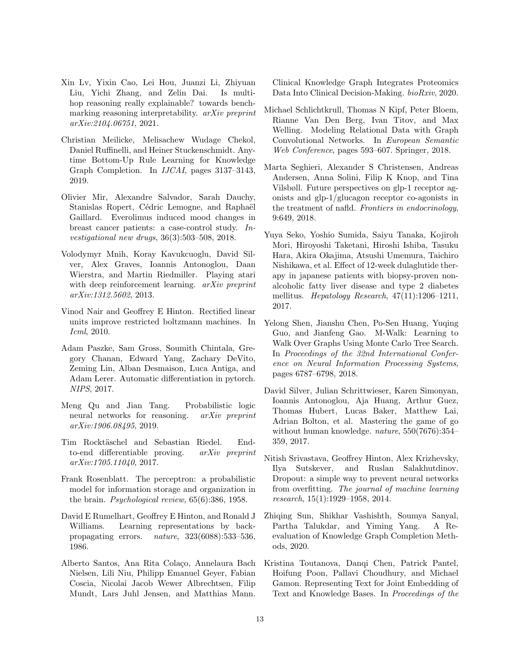- <span id="page-12-12"></span>Xin Lv, Yixin Cao, Lei Hou, Juanzi Li, Zhiyuan Liu, Yichi Zhang, and Zelin Dai. Is multihop reasoning really explainable? towards benchmarking reasoning interpretability. arXiv preprint arXiv:2104.06751, 2021.
- <span id="page-12-2"></span>Christian Meilicke, Melisachew Wudage Chekol, Daniel Ruffinelli, and Heiner Stuckenschmidt. Anytime Bottom-Up Rule Learning for Knowledge Graph Completion. In IJCAI, pages 3137–3143, 2019.
- <span id="page-12-15"></span>Olivier Mir, Alexandre Salvador, Sarah Dauchy, Stanislas Ropert, Cédric Lemogne, and Raphaël Gaillard. Everolimus induced mood changes in breast cancer patients: a case-control study. Investigational new drugs, 36(3):503–508, 2018.
- <span id="page-12-7"></span>Volodymyr Mnih, Koray Kavukcuoglu, David Silver, Alex Graves, Ioannis Antonoglou, Daan Wierstra, and Martin Riedmiller. Playing atari with deep reinforcement learning. *arXiv preprint* arXiv:1312.5602, 2013.
- <span id="page-12-18"></span>Vinod Nair and Geoffrey E Hinton. Rectified linear units improve restricted boltzmann machines. In Icml, 2010.
- <span id="page-12-16"></span>Adam Paszke, Sam Gross, Soumith Chintala, Gregory Chanan, Edward Yang, Zachary DeVito, Zeming Lin, Alban Desmaison, Luca Antiga, and Adam Lerer. Automatic differentiation in pytorch. NIPS, 2017.
- <span id="page-12-3"></span>Meng Qu and Jian Tang. Probabilistic logic neural networks for reasoning. *arXiv preprint* arXiv:1906.08495, 2019.
- <span id="page-12-6"></span>Tim Rocktäschel and Sebastian Riedel. Endto-end differentiable proving. arXiv preprint arXiv:1705.11040, 2017.
- <span id="page-12-4"></span>Frank Rosenblatt. The perceptron: a probabilistic model for information storage and organization in the brain. Psychological review, 65(6):386, 1958.
- <span id="page-12-5"></span>David E Rumelhart, Geoffrey E Hinton, and Ronald J Williams. Learning representations by backpropagating errors. nature, 323(6088):533–536, 1986.
- <span id="page-12-1"></span>Alberto Santos, Ana Rita Colaço, Annelaura Bach Nielsen, Lili Niu, Philipp Emanuel Geyer, Fabian Coscia, Nicolai Jacob Wewer Albrechtsen, Filip Mundt, Lars Juhl Jensen, and Matthias Mann.

Clinical Knowledge Graph Integrates Proteomics Data Into Clinical Decision-Making. bioRxiv, 2020.

- <span id="page-12-11"></span>Michael Schlichtkrull, Thomas N Kipf, Peter Bloem, Rianne Van Den Berg, Ivan Titov, and Max Welling. Modeling Relational Data with Graph Convolutional Networks. In European Semantic Web Conference, pages 593–607. Springer, 2018.
- <span id="page-12-13"></span>Marta Seghieri, Alexander S Christensen, Andreas Andersen, Anna Solini, Filip K Knop, and Tina Vilsbøll. Future perspectives on glp-1 receptor agonists and glp-1/glucagon receptor co-agonists in the treatment of nafld. Frontiers in endocrinology, 9:649, 2018.
- <span id="page-12-14"></span>Yuya Seko, Yoshio Sumida, Saiyu Tanaka, Kojiroh Mori, Hiroyoshi Taketani, Hiroshi Ishiba, Tasuku Hara, Akira Okajima, Atsushi Umemura, Taichiro Nishikawa, et al. Effect of 12-week dulaglutide therapy in japanese patients with biopsy-proven nonalcoholic fatty liver disease and type 2 diabetes mellitus. Hepatology Research, 47(11):1206–1211, 2017.
- <span id="page-12-10"></span>Yelong Shen, Jianshu Chen, Po-Sen Huang, Yuqing Guo, and Jianfeng Gao. M-Walk: Learning to Walk Over Graphs Using Monte Carlo Tree Search. In Proceedings of the 32nd International Conference on Neural Information Processing Systems, pages 6787–6798, 2018.
- <span id="page-12-8"></span>David Silver, Julian Schrittwieser, Karen Simonyan, Ioannis Antonoglou, Aja Huang, Arthur Guez, Thomas Hubert, Lucas Baker, Matthew Lai, Adrian Bolton, et al. Mastering the game of go without human knowledge. nature, 550(7676):354– 359, 2017.
- <span id="page-12-17"></span>Nitish Srivastava, Geoffrey Hinton, Alex Krizhevsky, Ilya Sutskever, and Ruslan Salakhutdinov. Dropout: a simple way to prevent neural networks from overfitting. The journal of machine learning research, 15(1):1929–1958, 2014.
- <span id="page-12-9"></span>Zhiqing Sun, Shikhar Vashishth, Soumya Sanyal, Partha Talukdar, and Yiming Yang. A Reevaluation of Knowledge Graph Completion Methods, 2020.
- <span id="page-12-0"></span>Kristina Toutanova, Danqi Chen, Patrick Pantel, Hoifung Poon, Pallavi Choudhury, and Michael Gamon. Representing Text for Joint Embedding of Text and Knowledge Bases. In Proceedings of the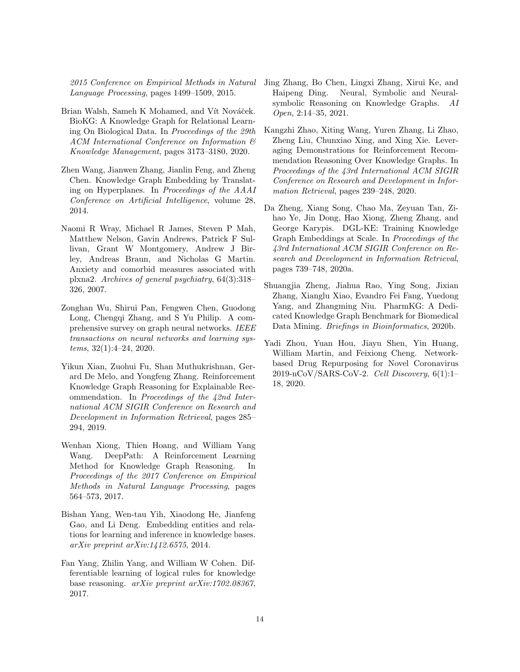2015 Conference on Empirical Methods in Natural Language Processing, pages 1499–1509, 2015.

- <span id="page-13-2"></span>Brian Walsh, Sameh K Mohamed, and Vít Nováček. BioKG: A Knowledge Graph for Relational Learning On Biological Data. In Proceedings of the 29th ACM International Conference on Information & Knowledge Management, pages 3173–3180, 2020.
- <span id="page-13-9"></span>Zhen Wang, Jianwen Zhang, Jianlin Feng, and Zheng Chen. Knowledge Graph Embedding by Translating on Hyperplanes. In Proceedings of the AAAI Conference on Artificial Intelligence, volume 28, 2014.
- <span id="page-13-11"></span>Naomi R Wray, Michael R James, Steven P Mah, Matthew Nelson, Gavin Andrews, Patrick F Sullivan, Grant W Montgomery, Andrew J Birley, Andreas Braun, and Nicholas G Martin. Anxiety and comorbid measures associated with plxna2. Archives of general psychiatry, 64(3):318– 326, 2007.
- <span id="page-13-5"></span>Zonghan Wu, Shirui Pan, Fengwen Chen, Guodong Long, Chengqi Zhang, and S Yu Philip. A comprehensive survey on graph neural networks. IEEE transactions on neural networks and learning systems, 32(1):4–24, 2020.
- <span id="page-13-8"></span>Yikun Xian, Zuohui Fu, Shan Muthukrishnan, Gerard De Melo, and Yongfeng Zhang. Reinforcement Knowledge Graph Reasoning for Explainable Recommendation. In Proceedings of the 42nd International ACM SIGIR Conference on Research and Development in Information Retrieval, pages 285– 294, 2019.
- <span id="page-13-1"></span>Wenhan Xiong, Thien Hoang, and William Yang Wang. DeepPath: A Reinforcement Learning Method for Knowledge Graph Reasoning. In Proceedings of the 2017 Conference on Empirical Methods in Natural Language Processing, pages 564–573, 2017.
- <span id="page-13-10"></span>Bishan Yang, Wen-tau Yih, Xiaodong He, Jianfeng Gao, and Li Deng. Embedding entities and relations for learning and inference in knowledge bases. arXiv preprint arXiv:1412.6575, 2014.
- <span id="page-13-6"></span>Fan Yang, Zhilin Yang, and William W Cohen. Differentiable learning of logical rules for knowledge base reasoning. arXiv preprint arXiv:1702.08367, 2017.
- <span id="page-13-4"></span>Jing Zhang, Bo Chen, Lingxi Zhang, Xirui Ke, and Haipeng Ding. Neural, Symbolic and Neuralsymbolic Reasoning on Knowledge Graphs. AI Open, 2:14–35, 2021.
- <span id="page-13-7"></span>Kangzhi Zhao, Xiting Wang, Yuren Zhang, Li Zhao, Zheng Liu, Chunxiao Xing, and Xing Xie. Leveraging Demonstrations for Reinforcement Recommendation Reasoning Over Knowledge Graphs. In Proceedings of the 43rd International ACM SIGIR Conference on Research and Development in Information Retrieval, pages 239–248, 2020.
- <span id="page-13-12"></span>Da Zheng, Xiang Song, Chao Ma, Zeyuan Tan, Zihao Ye, Jin Dong, Hao Xiong, Zheng Zhang, and George Karypis. DGL-KE: Training Knowledge Graph Embeddings at Scale. In Proceedings of the 43rd International ACM SIGIR Conference on Research and Development in Information Retrieval, pages 739–748, 2020a.
- <span id="page-13-3"></span>Shuangjia Zheng, Jiahua Rao, Ying Song, Jixian Zhang, Xianglu Xiao, Evandro Fei Fang, Yuedong Yang, and Zhangming Niu. PharmKG: A Dedicated Knowledge Graph Benchmark for Biomedical Data Mining. Briefings in Bioinformatics, 2020b.
- <span id="page-13-0"></span>Yadi Zhou, Yuan Hou, Jiayu Shen, Yin Huang, William Martin, and Feixiong Cheng. Networkbased Drug Repurposing for Novel Coronavirus 2019-nCoV/SARS-CoV-2. Cell Discovery, 6(1):1– 18, 2020.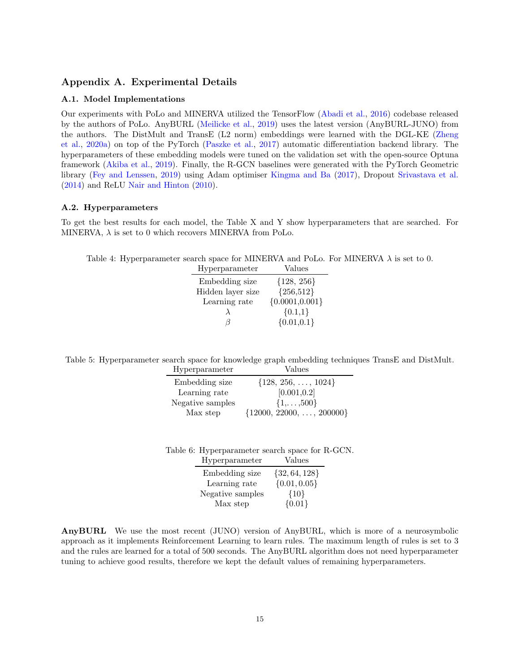# <span id="page-14-0"></span>Appendix A. Experimental Details

## A.1. Model Implementations

Our experiments with PoLo and MINERVA utilized the TensorFlow [\(Abadi et al.,](#page-10-13) [2016\)](#page-10-13) codebase released by the authors of PoLo. AnyBURL [\(Meilicke et al.,](#page-12-2) [2019\)](#page-12-2) uses the latest version (AnyBURL-JUNO) from the authors. The DistMult and TransE (L2 norm) embeddings were learned with the DGL-KE [\(Zheng](#page-13-12) [et al.,](#page-13-12) [2020a\)](#page-13-12) on top of the PyTorch [\(Paszke et al.,](#page-12-16) [2017\)](#page-12-16) automatic differentiation backend library. The hyperparameters of these embedding models were tuned on the validation set with the open-source Optuna framework [\(Akiba et al.,](#page-10-14) [2019\)](#page-10-14). Finally, the R-GCN baselines were generated with the PyTorch Geometric library [\(Fey and Lenssen,](#page-10-15) [2019\)](#page-10-15) using Adam optimiser [Kingma and Ba](#page-11-16) [\(2017\)](#page-11-16), Dropout [Srivastava et al.](#page-12-17) [\(2014\)](#page-12-17) and ReLU [Nair and Hinton](#page-12-18) [\(2010\)](#page-12-18).

### A.2. Hyperparameters

To get the best results for each model, the Table X and Y show hyperparameters that are searched. For MINERVA,  $\lambda$  is set to 0 which recovers MINERVA from PoLo.

Table 4: Hyperparameter search space for MINERVA and PoLo. For MINERVA  $\lambda$  is set to 0.

| Hyperparameter    | Values            |
|-------------------|-------------------|
| Embedding size    | ${128, 256}$      |
| Hidden layer size | ${256,512}$       |
| Learning rate     | ${0.0001, 0.001}$ |
|                   | ${0.1,1}$         |
| $\sigma$          | $\{0.01, 0.1\}$   |

Table 5: Hyperparameter search space for knowledge graph embedding techniques TransE and DistMult.

| Hyperparameter   | Values                             |
|------------------|------------------------------------|
| Embedding size   | $\{128, 256, \ldots, 1024\}$       |
| Learning rate    | [0.001, 0.2]                       |
| Negative samples | $\{1,\ldots,500\}$                 |
| Max step         | $\{12000, 22000, \ldots, 200000\}$ |

| Table 6: Hyperparameter search space for R-GCN. |                      |  |
|-------------------------------------------------|----------------------|--|
| User over a na mark on                          | $\overline{V}$ alaaa |  |

| 11 y per parameter | values            |
|--------------------|-------------------|
| Embedding size     | $\{32, 64, 128\}$ |
| Learning rate      | $\{0.01, 0.05\}$  |
| Negative samples   | ${10}$            |
| Max step           | ${0.01}$          |
|                    |                   |

AnyBURL We use the most recent (JUNO) version of AnyBURL, which is more of a neurosymbolic approach as it implements Reinforcement Learning to learn rules. The maximum length of rules is set to 3 and the rules are learned for a total of 500 seconds. The AnyBURL algorithm does not need hyperparameter tuning to achieve good results, therefore we kept the default values of remaining hyperparameters.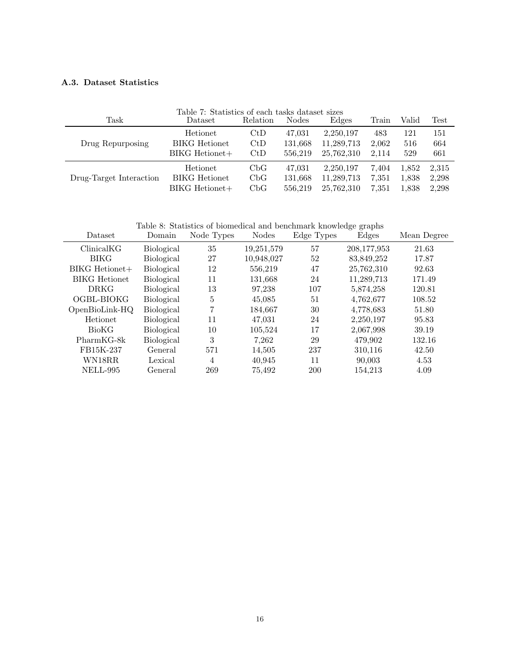# <span id="page-15-0"></span>A.3. Dataset Statistics

| Table 7: Statistics of each tasks dataset sizes |                      |                |              |            |       |       |                       |
|-------------------------------------------------|----------------------|----------------|--------------|------------|-------|-------|-----------------------|
| Task                                            | Dataset              | Relation       | <b>Nodes</b> | Edges      | Train | Valid | $\operatorname{Test}$ |
|                                                 | Hetionet             | $\mathrm{CtD}$ | 47,031       | 2,250,197  | 483   | 121   | 151                   |
| Drug Repurposing                                | <b>BIKG</b> Hetionet | CtD            | 131,668      | 11,289,713 | 2,062 | 516   | 664                   |
|                                                 | $BIKG$ Hetionet $+$  | CtD            | 556.219      | 25,762,310 | 2.114 | 529   | 661                   |
|                                                 | Hetionet             | CbG            | 47,031       | 2,250,197  | 7.404 | 1,852 | 2,315                 |
| Drug-Target Interaction                         | <b>BIKG</b> Hetionet | CbG            | 131,668      | 11,289,713 | 7.351 | 1,838 | 2,298                 |
|                                                 | BIKG Hetionet+       | CbG            | 556.219      | 25,762,310 | 7.351 | 1,838 | 2.298                 |

Table 8: Statistics of biomedical and benchmark knowledge graphs

| Dataset              | Domain            | Node Types | <b>Nodes</b> | Edge Types | Edges       | Mean Degree |
|----------------------|-------------------|------------|--------------|------------|-------------|-------------|
| ClinicalKG           | Biological        | 35         | 19,251,579   | 57         | 208,177,953 | 21.63       |
| <b>BIKG</b>          | Biological        | 27         | 10,948,027   | 52         | 83,849,252  | 17.87       |
| $BIKG$ Hetionet $+$  | Biological        | 12         | 556,219      | 47         | 25,762,310  | 92.63       |
| <b>BIKG</b> Hetionet | Biological        | 11         | 131,668      | 24         | 11,289,713  | 171.49      |
| <b>DRKG</b>          | Biological        | 13         | 97,238       | 107        | 5,874,258   | 120.81      |
| OGBL-BIOKG           | Biological        | 5          | 45,085       | 51         | 4,762,677   | 108.52      |
| OpenBioLink-HQ       | Biological        | 7          | 184,667      | 30         | 4,778,683   | 51.80       |
| Hetionet             | <b>Biological</b> | 11         | 47,031       | 24         | 2,250,197   | 95.83       |
| <b>BioKG</b>         | Biological        | 10         | 105,524      | 17         | 2,067,998   | 39.19       |
| $PharmKG-8k$         | <b>Biological</b> | 3          | 7,262        | 29         | 479,902     | 132.16      |
| FB15K-237            | <b>General</b>    | 571        | 14,505       | 237        | 310,116     | 42.50       |
| WN18RR               | Lexical           | 4          | 40,945       | 11         | 90,003      | 4.53        |
| NELL-995             | General           | 269        | 75,492       | 200        | 154.213     | 4.09        |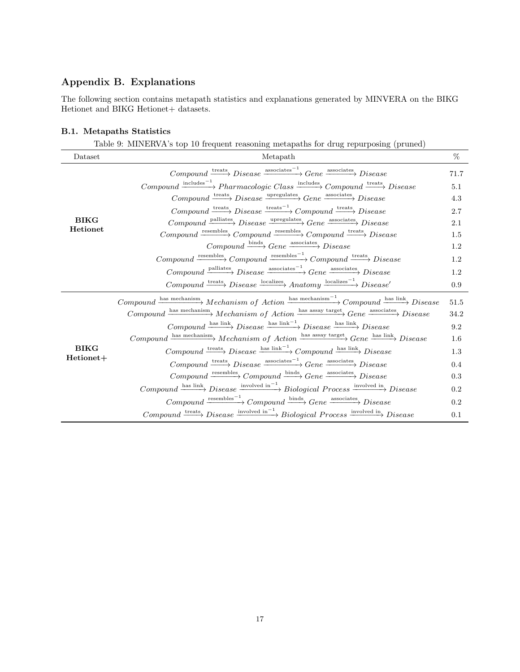# <span id="page-16-0"></span>Appendix B. Explanations

The following section contains metapath statistics and explanations generated by MINVERA on the BIKG Hetionet and BIKG Hetionet+ datasets.

## B.1. Metapaths Statistics

|                                | <b>B.1.</b> Metapaths Statistics                                                                                                                                                      |         |
|--------------------------------|---------------------------------------------------------------------------------------------------------------------------------------------------------------------------------------|---------|
|                                | Table 9: MINERVA's top 10 frequent reasoning metapaths for drug repurposing (pruned)                                                                                                  |         |
| Dataset                        | Metapath                                                                                                                                                                              | %       |
|                                | $Componnd \xrightarrow{\text{treats}} Discase \xrightarrow{\text{associates}^{-1}} Gene \xrightarrow{\text{associates}} Discase$                                                      | 71.7    |
|                                | $\label{eq:compound} Compound \xrightarrow{\text{includes}^{-1}}\text{Pharmacologic Class} \xrightarrow{\text{includes}}\text{Componnd} \xrightarrow{\text{treats}} \text{Disease}$   | 5.1     |
|                                | $Componnd \xrightarrow{\text{treats}} Discase \xrightarrow{\text{upregulates}} Gene \xrightarrow{\text{associates}} Discase$                                                          | 4.3     |
| <b>BIKG</b><br><b>Hetionet</b> | $\label{eq:compound} Compound \xrightarrow{\text{treats}} Disease \xrightarrow{\text{treats}^{-1}} Compound \xrightarrow{\text{treats}} Disease$                                      | 2.7     |
|                                | $Componnd \xrightarrow{\text{palliates}} Disense \xrightarrow{\text{upregulates}} Gene \xrightarrow{\text{associates}} Disense$                                                       | 2.1     |
|                                | $Compound \xrightarrow{\text{resembles}} Compound \xrightarrow{\text{resembles}} Compound \xrightarrow{\text{resembles}} Compound \xrightarrow{\text{treats}} Disease$                | 1.5     |
|                                | $Compound \xrightarrow{\text{binds}} Gene \xrightarrow{\text{associates}} Discase$                                                                                                    | 1.2     |
|                                | $\label{eq:compound} Compound \xrightarrow{\text{resembles}} Com pound \xrightarrow{\text{resembles}^{-1}} Com pound \xrightarrow{\text{treats}} Discase$                             | 1.2     |
|                                | $\label{eq:subspace} Compound \xrightarrow{\text{palliates}} Disease \xrightarrow{\text{associates}^{-1}} Gene \xrightarrow{\text{associates}} Disease$                               | $1.2\,$ |
|                                | $Compound \xrightarrow{\text{treats}} Disesse \xrightarrow{\text{localizes}} Anatomy \xrightarrow{\text{localizes}^{-1}} Discase'$                                                    | 0.9     |
|                                | $\label{eq:compound} Compound \xrightarrow{\text{has mechanism}} Mechanism \text{ of } Action \xrightarrow{\text{has mechanism}^{-1}} Compound \xrightarrow{\text{has link}} Discase$ | 51.5    |
|                                | $\label{eq:compound} Compound \xrightarrow{\text{has mechanism}} Mechanism \text{ of } Action \xrightarrow{\text{has assay target}} Gene \xrightarrow{\text{associates}} Discase$     | 34.2    |
|                                | $Componnd \xrightarrow{\text{has link}} Discase \xrightarrow{\text{has link}} Discase \xrightarrow{\text{has link}} Discase$                                                          | 9.2     |
|                                | $\label{eq:compound} Compound \xrightarrow{\text{has mechanism}} Mechanism \text{ of } Action \xrightarrow{\text{has assay target}} Gene \xrightarrow{\text{has link}} Disease$       | $1.6\,$ |
| <b>BIKG</b>                    | $Componnd \xrightarrow{\text{treats}} Discase \xrightarrow{\text{has link}^{-1}} Componnd \xrightarrow{\text{has link}} Discase$                                                      | 1.3     |
| Hetionet+                      | $\label{eq:compound} Compound \xrightarrow{\text{treats}} Discase \xrightarrow{\text{associates}^{-1}} Gene \xrightarrow{\text{associates}} Discase$                                  | 0.4     |
|                                | $Compound \xrightarrow{\text{resembles}} Compound \xrightarrow{\text{binds}} Gene \xrightarrow{\text{associates}} Disease$                                                            | 0.3     |
|                                | $\label{eq:compound} Compound \xrightarrow{\text{has link}} Disense \xrightarrow{\text{involved in}^{-1}} Biological \ Process \xrightarrow{\text{involved in}} Discase$              | $0.2\,$ |

 $Compound \xrightarrow{\text{resembles}^{-1}} Componnd \xrightarrow{\text{binds}} Gene \xrightarrow{\text{associates}} Disease$  0.2

 $Compound \xrightarrow{\text{treats}} Discase \xrightarrow{\text{involved in}^{-1}} Biological Process \xrightarrow{\text{involved in}} Discase \longrightarrow 0.1$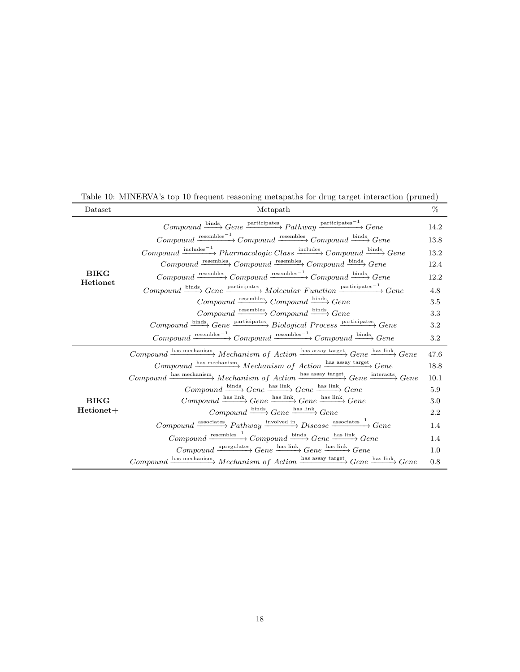| Dataset                 | Metapath                                                                                                                                                                                         | %       |
|-------------------------|--------------------------------------------------------------------------------------------------------------------------------------------------------------------------------------------------|---------|
|                         | $Componnd \xrightarrow{\text{binds}} Gene \xrightarrow{\text{participates}} Pathway \xrightarrow{\text{participates}} Gene$                                                                      | 14.2    |
|                         | $\label{eq:compound} Compound \xrightarrow{\text{resembles}^{-1}} Com pound \xrightarrow{\text{resembles}} Com pound \xrightarrow{\text{binds}} Gene$                                            | 13.8    |
|                         | $\label{eq:compound} Compound \xrightarrow{\text{includes}^{-1}}\text{Pharmacologie Class} \xrightarrow{\text{includes}}\text{Compound} \xrightarrow{\text{bindes}}\text{Gene}$                  | 13.2    |
|                         | $Componnd \xrightarrow{\text{resembles}} Componnd \xrightarrow{\text{resembles}} Componnd \xrightarrow{\text{binds}} Gene$                                                                       | 12.4    |
| <b>BIKG</b><br>Hetionet | $\label{eq:compound} Compound \xrightarrow{\text{resembles}} Compound \xrightarrow{\text{resembles}^{-1}} Compound \xrightarrow{\text{resembles}^{-1}} Compound \xrightarrow{\text{binds}} Gene$ | 12.2    |
|                         | $\label{eq:compound} Compound \xrightarrow{\text{binds}} Gene \xrightarrow{\text{participates}} Molecular \ Function \xrightarrow{\text{participates}^{-1}} Gene$                                | 4.8     |
|                         | $Componnd \xrightarrow{\text{resembles}} Componnd \xrightarrow{\text{binds}} Gene$                                                                                                               | 3.5     |
|                         | $Componnd \xrightarrow{\text{resembles}} Componnd \xrightarrow{\text{binds}} Gene$                                                                                                               | $3.3\,$ |
|                         | $\label{eq:compound} Compound \xrightarrow{\text{binds}} Gene \xrightarrow{\text{participates}} Biological \ Process \xrightarrow{\text{participates}} Gene$                                     | 3.2     |
|                         | $\label{eq:compound} Compound \xrightarrow{\text{resembles}^{-1}} Com pound \xrightarrow{\text{resembles}^{-1}} Com pound \xrightarrow{\text{binds}} Gene$                                       | 3.2     |
|                         | $\label{eq:compound} Compound \xrightarrow{\text{has mechanism}} Mechanism \text{ of } Action \xrightarrow{\text{has assay target}} Gene \xrightarrow{\text{has link}} Gene$                     | 47.6    |
|                         | $\label{eq:compound} Compound \xrightarrow{\text{has mechanism}} Mechanism \text{ of } Action \xrightarrow{\text{has assay target}} Gene$                                                        | 18.8    |
|                         | $\label{eq:compound} Compound \xrightarrow{\text{has mechanism}} Mechanism \text{ of } Action \xrightarrow{\text{has assay target}} Gene \xrightarrow{\text{interacts}} Gene$                    | 10.1    |
|                         | $Compound \xrightarrow{\text{binds}} Gene \xrightarrow{\text{has link}} Gene \xrightarrow{\text{has link}} Gene$                                                                                 | 5.9     |
| <b>BIKG</b>             | $Componnd \xrightarrow{\text{has link}} Gene \xrightarrow{\text{has link}} Gene \xrightarrow{\text{has link}} Gene$                                                                              | 3.0     |
| Hetionet+               | $Compound \xrightarrow{\text{binds}} Gene \xrightarrow{\text{has link}} Gene$                                                                                                                    | 2.2     |
|                         | $\label{eq:compound} Compound \xrightarrow{\text{associates}} \text{Pathway} \xrightarrow{\text{involved in}} \text{Disease} \xrightarrow{\text{associates}^{-1}} \text{Gene}$                   | 1.4     |
|                         | $Componnd \xrightarrow{\text{resembles}^{-1}} Componnd \xrightarrow{\text{binds}} Gene \xrightarrow{\text{has link}} Gene$                                                                       | 1.4     |
|                         | $Compound \xrightarrow{\text{upregulates}} Gene \xrightarrow{\text{has link}} Gene \xrightarrow{\text{has link}} Gene$                                                                           | 1.0     |
|                         | $\label{eq:compound} Compound \xrightarrow{\text{has mechanism}} Mechanism \text{ of } Action \xrightarrow{\text{has assay target}} Gene \xrightarrow{\text{has link}} Gene$                     | 0.8     |

Table 10: MINERVA's top 10 frequent reasoning metapaths for drug target interaction (pruned)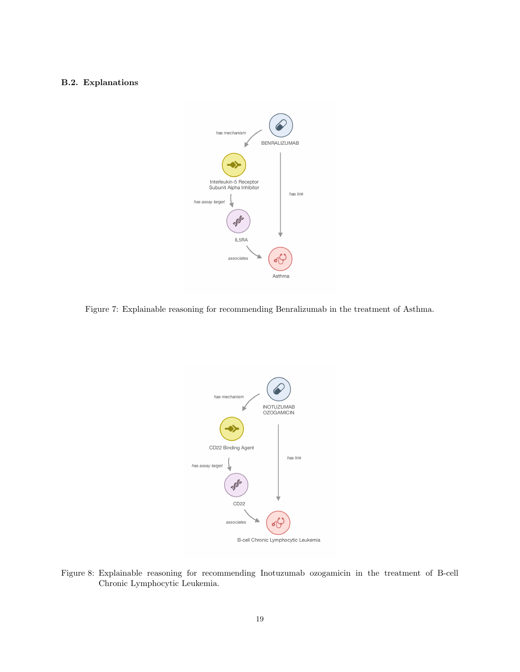# B.2. Explanations



Figure 7: Explainable reasoning for recommending Benralizumab in the treatment of Asthma.



B-cell Chronic Lymphocytic Leukemia

Figure 8: Explainable reasoning for recommending Inotuzumab ozogamicin in the treatment of B-cell Chronic Lymphocytic Leukemia.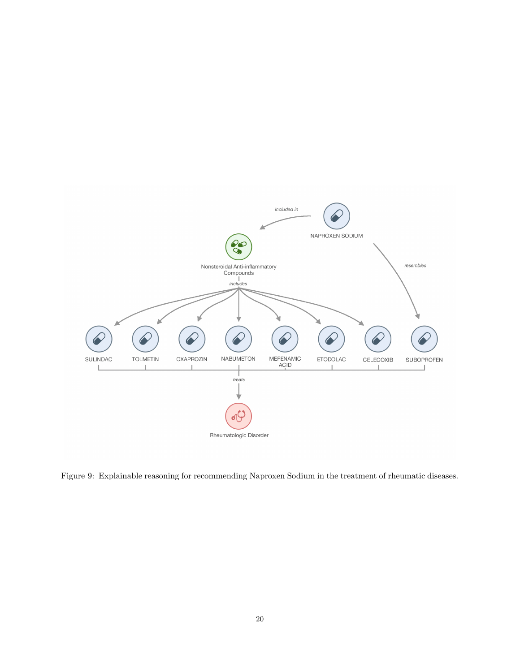

Figure 9: Explainable reasoning for recommending Naproxen Sodium in the treatment of rheumatic diseases.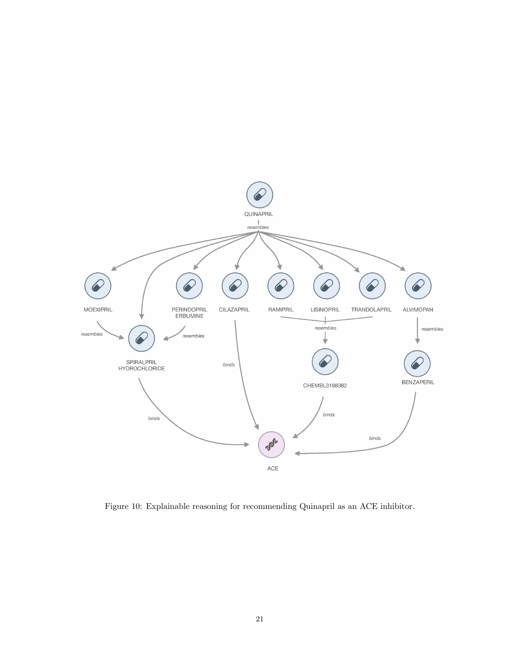

Figure 10: Explainable reasoning for recommending Quinapril as an ACE inhibitor.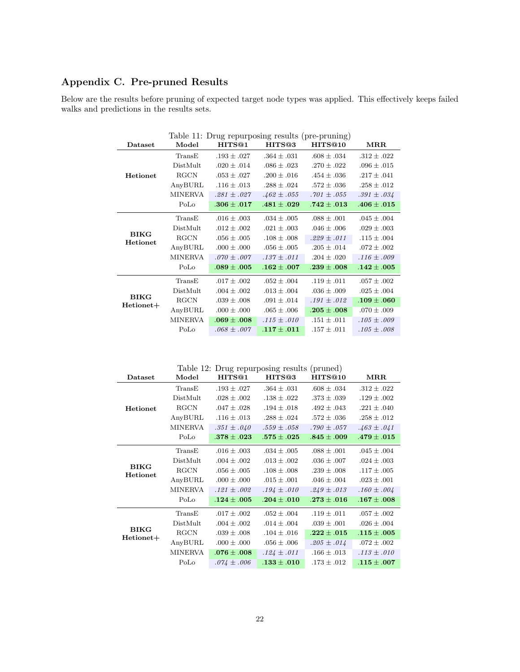# <span id="page-21-0"></span>Appendix C. Pre-pruned Results

Below are the results before pruning of expected target node types was applied. This effectively keeps failed walks and predictions in the results sets.

|                          | Table 11: Drug repurposing results (pre-pruning) |                    |                    |                 |                 |  |  |
|--------------------------|--------------------------------------------------|--------------------|--------------------|-----------------|-----------------|--|--|
| Dataset                  | Model                                            | HITS <sup>@1</sup> | HITS <sup>®3</sup> | HITS@10         | MRR             |  |  |
|                          | TransE                                           | $.193 \pm .027$    | $.364 \pm .031$    | $.608 \pm .034$ | $.312 \pm .022$ |  |  |
|                          | DistMult                                         | $.020 \pm .014$    | $.086 \pm .023$    | $.270 \pm .022$ | $.096 \pm .015$ |  |  |
| Hetionet                 | <b>RGCN</b>                                      | $.053 \pm .027$    | $.200 \pm .016$    | $.454 \pm .036$ | $.217 \pm .041$ |  |  |
|                          | AnyBURL                                          | $.116 \pm .013$    | $.288 \pm .024$    | $.572 \pm .036$ | $.258 \pm .012$ |  |  |
|                          | MINERVA                                          | $.281 \pm .027$    | $.462 \pm .055$    | $.701 \pm .055$ | $.391 \pm .034$ |  |  |
|                          | PoLo                                             | $.306 \pm .017$    | $.481 \pm .029$    | $.742\pm.013$   | $.406 \pm .015$ |  |  |
|                          | TransE                                           | $.016 \pm .003$    | $.034 \pm .005$    | $.088 \pm .001$ | $.045 \pm .004$ |  |  |
|                          | DistMult                                         | $.012 \pm .002$    | $.021 \pm .003$    | $.046 \pm .006$ | $.029 \pm .003$ |  |  |
| <b>BIKG</b><br>Hetionet  | <b>RGCN</b>                                      | $.056 \pm .005$    | $.108 \pm .008$    | $.229 \pm .011$ | $.115 \pm .004$ |  |  |
|                          | AnyBURL                                          | $.000 \pm .000$    | $.056 \pm .005$    | $.205 \pm .014$ | $.072 \pm .002$ |  |  |
|                          | <b>MINERVA</b>                                   | $.070 \pm .007$    | $.137 \pm .011$    | $.204 \pm .020$ | $.116 \pm .009$ |  |  |
|                          | PoLo                                             | $.089 \pm .005$    | $.162 \pm .007$    | $.239 \pm .008$ | $.142\pm.005$   |  |  |
|                          | TransE                                           | $.017 \pm .002$    | $.052 \pm .004$    | $.119 \pm .011$ | $.057 \pm .002$ |  |  |
|                          | DistMult                                         | $.004 \pm .002$    | $.013 \pm .004$    | $.036 \pm .009$ | $.025 \pm .004$ |  |  |
| <b>BIKG</b><br>Hetionet+ | <b>RGCN</b>                                      | $.039 \pm .008$    | $.091 \pm .014$    | $.191 \pm .012$ | $.109 \pm .060$ |  |  |
|                          | AnyBURL                                          | $.000 \pm .000$    | $.065 \pm .006$    | $.205 \pm .008$ | $.070 \pm .009$ |  |  |
|                          | <b>MINERVA</b>                                   | $.069 \pm .008$    | $.115 \pm .010$    | $.151 \pm .011$ | $.105 \pm .009$ |  |  |
|                          | PoLo                                             | $.068 \pm .007$    | $.117 \pm .011$    | $.157 \pm .011$ | $.105 \pm .008$ |  |  |

Table 12: Drug repurposing results (pruned)

| Dataset                        | Model    | HITS@1          | HITS@3          | HITS@10         | $\operatorname{MRR}$ |
|--------------------------------|----------|-----------------|-----------------|-----------------|----------------------|
| Hetionet                       | TransE   | $.193 \pm .027$ | $.364 \pm .031$ | $.608 \pm .034$ | $.312 \pm .022$      |
|                                | DistMult | $.028 \pm .002$ | $.138 \pm .022$ | $.373 \pm .039$ | $.129 \pm .002$      |
|                                | RGCN     | $.047 \pm .028$ | $.194 \pm .018$ | $.492 \pm .043$ | $.221 \pm .040$      |
|                                | AnyBURL  | $.116 \pm .013$ | $.288 \pm .024$ | $.572 \pm .036$ | $.258 \pm .012$      |
|                                | MINERVA  | $.351 \pm .040$ | $.559 \pm .058$ | $.790 \pm .057$ | $.463 \pm .041$      |
|                                | PoLo     | $.378\pm.023$   | $.575\pm.025$   | $.845\pm.009$   | $.479\pm.015$        |
| <b>BIKG</b><br><b>Hetionet</b> | TransE   | $.016 \pm .003$ | $.034 \pm .005$ | $.088 \pm .001$ | $.045 \pm .004$      |
|                                | DistMult | $.004 \pm .002$ | $.013 \pm .002$ | $.036 \pm .007$ | $.024 \pm .003$      |
|                                | RGCN     | $.056 \pm .005$ | $.108 \pm .008$ | $.239 \pm .008$ | $.117 \pm .005$      |
|                                | AnyBURL  | $.000 \pm .000$ | $.015 \pm .001$ | $.046 \pm .004$ | $.023 \pm .001$      |
|                                | MINERVA  | $.121 \pm .002$ | $.194 \pm .010$ | $.249 \pm .013$ | $.160 \pm .004$      |
|                                | PoLo     | $.124\pm.005$   | $.204 \pm .010$ | $.273\pm.016$   | $.167\pm.008$        |
| <b>BIKG</b><br>Hetionet+       | TransE   | $.017 \pm .002$ | $.052 \pm .004$ | $.119 \pm .011$ | $.057 \pm .002$      |
|                                | DistMult | $.004 \pm .002$ | $.014 \pm .004$ | $.039 \pm .001$ | $.026 \pm .004$      |
|                                | RGCN     | $.039 \pm .008$ | $.104 \pm .016$ | $.222 \pm .015$ | $.115 \pm .005$      |
|                                | AnyBURL  | $.000 \pm .000$ | $.056 \pm .006$ | $.205 \pm .014$ | $.072 \pm .002$      |
|                                | MINERVA  | $.076 \pm .008$ | $.124 \pm .011$ | $.166 \pm .013$ | $.113 \pm .010$      |
|                                | PoLo     | $.074 \pm .006$ | $.133\pm.010$   | $.173 \pm .012$ | $.115\pm .007$       |